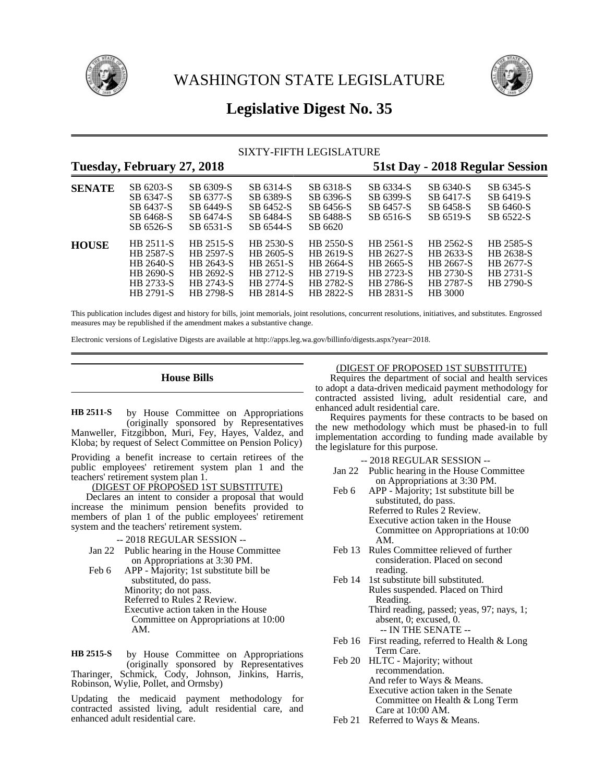

WASHINGTON STATE LEGISLATURE



# **Legislative Digest No. 35**

# SIXTY-FIFTH LEGISLATURE

# **Tuesday, February 27, 2018 51st Day - 2018 Regular Session**

| <b>SENATE</b> | SB 6203-S<br>SB 6347-S<br>SB 6437-S<br>SB 6468-S<br>SB 6526-S              | SB 6309-S<br>SB 6377-S<br>SB 6449-S<br>SB 6474-S<br>SB 6531-S              | SB 6314-S<br>SB 6389-S<br>SB 6452-S<br>SB 6484-S<br>SB 6544-S              | SB 6318-S<br>SB 6396-S<br>SB 6456-S<br>SB 6488-S<br>SB 6620                       | SB 6334-S<br>SB 6399-S<br>SB 6457-S<br>SB 6516-S                                  | SB 6340-S<br>SB 6417-S<br>SB 6458-S<br>SB 6519-S                                       | SB 6345-S<br>SB 6419-S<br>SB 6460-S<br>SB 6522-S                     |
|---------------|----------------------------------------------------------------------------|----------------------------------------------------------------------------|----------------------------------------------------------------------------|-----------------------------------------------------------------------------------|-----------------------------------------------------------------------------------|----------------------------------------------------------------------------------------|----------------------------------------------------------------------|
| <b>HOUSE</b>  | HB 2511-S<br>HB 2587-S<br>HB 2640-S<br>HB 2690-S<br>HB 2733-S<br>HB 2791-S | HB 2515-S<br>HB 2597-S<br>HB 2643-S<br>HB 2692-S<br>HB 2743-S<br>HB 2798-S | HB 2530-S<br>HB 2605-S<br>HB 2651-S<br>HB 2712-S<br>HB 2774-S<br>HB 2814-S | <b>HB 2550-S</b><br>HB 2619-S<br>HB 2664-S<br>HB 2719-S<br>HB 2782-S<br>HB 2822-S | HB 2561-S<br>HB 2627-S<br>HB 2665-S<br>HB 2723-S<br><b>HB</b> 2786-S<br>HB 2831-S | HB 2562-S<br>HB 2633-S<br>HB 2667-S<br>HB 2730-S<br><b>HB</b> 2787-S<br><b>HB</b> 3000 | HB 2585-S<br>HB 2638-S<br>HB 2677-S<br>HB 2731-S<br><b>HB 2790-S</b> |

This publication includes digest and history for bills, joint memorials, joint resolutions, concurrent resolutions, initiatives, and substitutes. Engrossed measures may be republished if the amendment makes a substantive change.

Electronic versions of Legislative Digests are available at http://apps.leg.wa.gov/billinfo/digests.aspx?year=2018.

# **House Bills**

by House Committee on Appropriations (originally sponsored by Representatives Manweller, Fitzgibbon, Muri, Fey, Hayes, Valdez, and Kloba; by request of Select Committee on Pension Policy) **HB 2511-S**

Providing a benefit increase to certain retirees of the public employees' retirement system plan 1 and the teachers' retirement system plan 1.

# (DIGEST OF PROPOSED 1ST SUBSTITUTE)

Declares an intent to consider a proposal that would increase the minimum pension benefits provided to members of plan 1 of the public employees' retirement system and the teachers' retirement system.

# -- 2018 REGULAR SESSION --

- Jan 22 Public hearing in the House Committee on Appropriations at 3:30 PM.
- Feb 6 APP Majority; 1st substitute bill be substituted, do pass. Minority; do not pass. Referred to Rules 2 Review. Executive action taken in the House Committee on Appropriations at 10:00 AM.

by House Committee on Appropriations (originally sponsored by Representatives Tharinger, Schmick, Cody, Johnson, Jinkins, Harris, Robinson, Wylie, Pollet, and Ormsby) **HB 2515-S**

Updating the medicaid payment methodology for contracted assisted living, adult residential care, and enhanced adult residential care.

# (DIGEST OF PROPOSED 1ST SUBSTITUTE)

Requires the department of social and health services to adopt a data-driven medicaid payment methodology for contracted assisted living, adult residential care, and enhanced adult residential care.

Requires payments for these contracts to be based on the new methodology which must be phased-in to full implementation according to funding made available by the legislature for this purpose.

- Jan 22 Public hearing in the House Committee on Appropriations at 3:30 PM.
- Feb 6 APP Majority; 1st substitute bill be substituted, do pass. Referred to Rules 2 Review. Executive action taken in the House Committee on Appropriations at 10:00 AM.
- Feb 13 Rules Committee relieved of further consideration. Placed on second reading.
- Feb 14 1st substitute bill substituted. Rules suspended. Placed on Third Reading. Third reading, passed; yeas, 97; nays, 1; absent, 0; excused, 0. -- IN THE SENATE --
- Feb 16 First reading, referred to Health & Long Term Care.
- Feb 20 HLTC Majority; without recommendation. And refer to Ways & Means. Executive action taken in the Senate Committee on Health & Long Term Care at 10:00 AM.
- Feb 21 Referred to Ways & Means.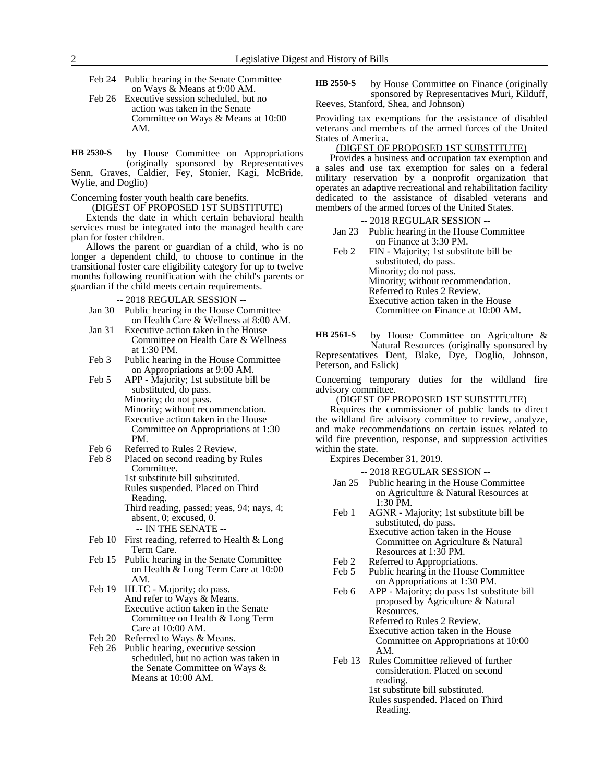- Feb 24 Public hearing in the Senate Committee on Ways & Means at 9:00 AM.
- Feb 26 Executive session scheduled, but no action was taken in the Senate Committee on Ways & Means at 10:00 AM.

by House Committee on Appropriations (originally sponsored by Representatives Senn, Graves, Caldier, Fey, Stonier, Kagi, McBride, Wylie, and Doglio) **HB 2530-S**

Concerning foster youth health care benefits.

(DIGEST OF PROPOSED 1ST SUBSTITUTE)

Extends the date in which certain behavioral health services must be integrated into the managed health care plan for foster children.

Allows the parent or guardian of a child, who is no longer a dependent child, to choose to continue in the transitional foster care eligibility category for up to twelve months following reunification with the child's parents or guardian if the child meets certain requirements.

-- 2018 REGULAR SESSION --

- Jan 30 Public hearing in the House Committee on Health Care & Wellness at 8:00 AM.
- Jan 31 Executive action taken in the House Committee on Health Care & Wellness at 1:30 PM.
- Feb 3 Public hearing in the House Committee on Appropriations at 9:00 AM.
- Feb 5 APP Majority; 1st substitute bill be substituted, do pass. Minority; do not pass. Minority; without recommendation. Executive action taken in the House Committee on Appropriations at 1:30 PM.
- 
- Feb 6 Referred to Rules 2 Review.<br>Feb 8 Placed on second reading by Placed on second reading by Rules Committee. 1st substitute bill substituted. Rules suspended. Placed on Third Reading. Third reading, passed; yeas, 94; nays, 4; absent, 0; excused, 0.
	- -- IN THE SENATE --
- Feb 10 First reading, referred to Health & Long Term Care.
- Feb 15 Public hearing in the Senate Committee on Health & Long Term Care at 10:00 AM.
- Feb 19 HLTC Majority; do pass. And refer to Ways & Means. Executive action taken in the Senate Committee on Health & Long Term Care at 10:00 AM.
- Feb 20 Referred to Ways & Means.
- Feb 26 Public hearing, executive session scheduled, but no action was taken in the Senate Committee on Ways & Means at 10:00 AM.

by House Committee on Finance (originally sponsored by Representatives Muri, Kilduff, Reeves, Stanford, Shea, and Johnson) **HB 2550-S**

Providing tax exemptions for the assistance of disabled veterans and members of the armed forces of the United States of America.

# (DIGEST OF PROPOSED 1ST SUBSTITUTE)

Provides a business and occupation tax exemption and a sales and use tax exemption for sales on a federal military reservation by a nonprofit organization that operates an adaptive recreational and rehabilitation facility dedicated to the assistance of disabled veterans and members of the armed forces of the United States.

#### -- 2018 REGULAR SESSION --

- Jan 23 Public hearing in the House Committee on Finance at 3:30 PM.
- Feb 2 FIN Majority; 1st substitute bill be substituted, do pass. Minority; do not pass. Minority; without recommendation. Referred to Rules 2 Review. Executive action taken in the House Committee on Finance at 10:00 AM.

by House Committee on Agriculture & Natural Resources (originally sponsored by **HB 2561-S**

Representatives Dent, Blake, Dye, Doglio, Johnson, Peterson, and Eslick)

Concerning temporary duties for the wildland fire advisory committee.

(DIGEST OF PROPOSED 1ST SUBSTITUTE)

Requires the commissioner of public lands to direct the wildland fire advisory committee to review, analyze, and make recommendations on certain issues related to wild fire prevention, response, and suppression activities within the state.

Expires December 31, 2019.

- Jan 25 Public hearing in the House Committee on Agriculture & Natural Resources at 1:30 PM.
- Feb 1 AGNR Majority; 1st substitute bill be substituted, do pass. Executive action taken in the House Committee on Agriculture & Natural Resources at 1:30 PM.
- 
- Feb 2 Referred to Appropriations.<br>Feb 5 Public hearing in the House Public hearing in the House Committee on Appropriations at 1:30 PM.
- Feb 6 APP Majority; do pass 1st substitute bill proposed by Agriculture & Natural Resources. Referred to Rules 2 Review. Executive action taken in the House Committee on Appropriations at 10:00 AM.
- Feb 13 Rules Committee relieved of further consideration. Placed on second reading. 1st substitute bill substituted. Rules suspended. Placed on Third Reading.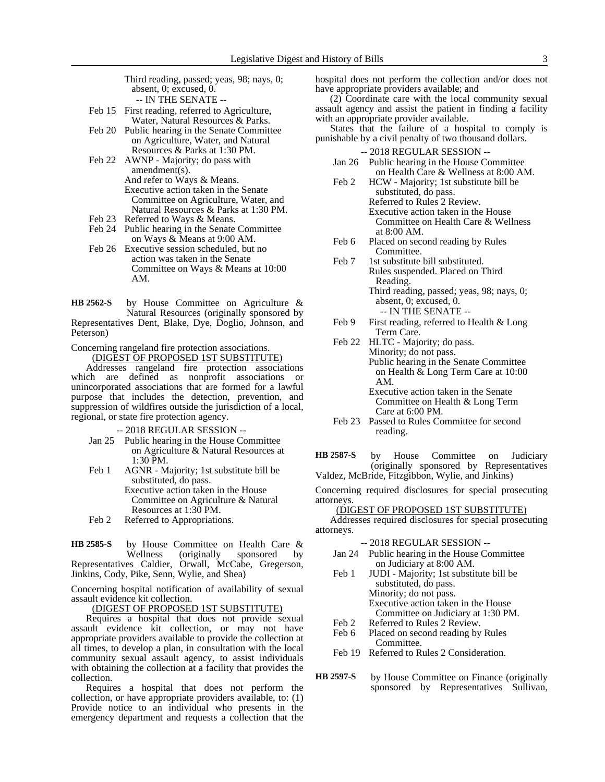Third reading, passed; yeas, 98; nays, 0; absent, 0; excused, 0. -- IN THE SENATE --

- Feb 15 First reading, referred to Agriculture, Water, Natural Resources & Parks.
- Feb 20 Public hearing in the Senate Committee on Agriculture, Water, and Natural Resources & Parks at 1:30 PM.
- Feb 22 AWNP Majority; do pass with amendment(s). And refer to Ways & Means. Executive action taken in the Senate Committee on Agriculture, Water, and Natural Resources & Parks at 1:30 PM.
- Feb 23 Referred to Ways & Means.<br>Feb 24 Public hearing in the Senate
- Public hearing in the Senate Committee on Ways & Means at 9:00 AM.
- Feb 26 Executive session scheduled, but no action was taken in the Senate Committee on Ways & Means at 10:00 AM.

by House Committee on Agriculture & Natural Resources (originally sponsored by Representatives Dent, Blake, Dye, Doglio, Johnson, and Peterson) **HB 2562-S**

Concerning rangeland fire protection associations. (DIGEST OF PROPOSED 1ST SUBSTITUTE)

Addresses rangeland fire protection associations which are defined as nonprofit associations or unincorporated associations that are formed for a lawful purpose that includes the detection, prevention, and suppression of wildfires outside the jurisdiction of a local, regional, or state fire protection agency.

-- 2018 REGULAR SESSION --

- Jan 25 Public hearing in the House Committee on Agriculture & Natural Resources at 1:30 PM.
- Feb 1 AGNR Majority; 1st substitute bill be substituted, do pass. Executive action taken in the House Committee on Agriculture & Natural Resources at 1:30 PM.
- Feb 2 Referred to Appropriations.

by House Committee on Health Care & Wellness (originally sponsored by Representatives Caldier, Orwall, McCabe, Gregerson, Jinkins, Cody, Pike, Senn, Wylie, and Shea) **HB 2585-S**

Concerning hospital notification of availability of sexual assault evidence kit collection.

(DIGEST OF PROPOSED 1ST SUBSTITUTE)

Requires a hospital that does not provide sexual assault evidence kit collection, or may not have appropriate providers available to provide the collection at all times, to develop a plan, in consultation with the local community sexual assault agency, to assist individuals with obtaining the collection at a facility that provides the collection.

Requires a hospital that does not perform the collection, or have appropriate providers available, to: (1) Provide notice to an individual who presents in the emergency department and requests a collection that the hospital does not perform the collection and/or does not have appropriate providers available; and

(2) Coordinate care with the local community sexual assault agency and assist the patient in finding a facility with an appropriate provider available.

States that the failure of a hospital to comply is punishable by a civil penalty of two thousand dollars.

-- 2018 REGULAR SESSION --

- Jan 26 Public hearing in the House Committee on Health Care & Wellness at 8:00 AM.
- Feb 2 HCW Majority; 1st substitute bill be substituted, do pass. Referred to Rules 2 Review. Executive action taken in the House Committee on Health Care & Wellness at 8:00 AM.
- Feb 6 Placed on second reading by Rules Committee.
- Feb 7 1st substitute bill substituted. Rules suspended. Placed on Third Reading. Third reading, passed; yeas, 98; nays, 0; absent, 0; excused, 0. -- IN THE SENATE --
- Feb 9 First reading, referred to Health & Long Term Care.
- Feb 22 HLTC Majority; do pass. Minority; do not pass. Public hearing in the Senate Committee on Health & Long Term Care at 10:00 AM.
	- Executive action taken in the Senate Committee on Health & Long Term Care at 6:00 PM.
- Feb 23 Passed to Rules Committee for second reading.
- by House Committee on Judiciary (originally sponsored by Representatives Valdez, McBride, Fitzgibbon, Wylie, and Jinkins) **HB 2587-S**

Concerning required disclosures for special prosecuting attorneys.

(DIGEST OF PROPOSED 1ST SUBSTITUTE)

Addresses required disclosures for special prosecuting attorneys.

-- 2018 REGULAR SESSION -- Jan 24 Public hearing in the House Committee on Judiciary at 8:00 AM. Feb 1 JUDI - Majority; 1st substitute bill be substituted, do pass. Minority; do not pass. Executive action taken in the House Committee on Judiciary at 1:30 PM. Feb 2 Referred to Rules 2 Review. Feb 6 Placed on second reading by Rules Committee. Feb 19 Referred to Rules 2 Consideration. by House Committee on Finance (originally sponsored by Representatives Sullivan, **HB 2597-S**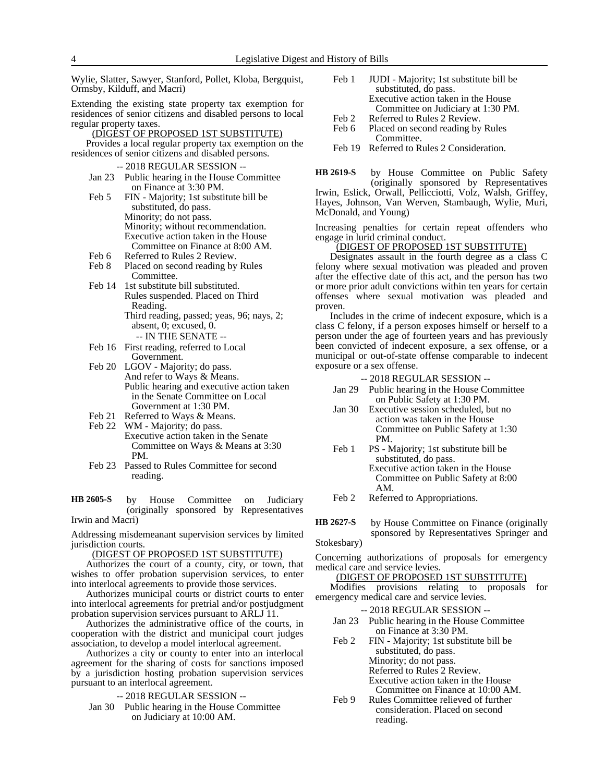Wylie, Slatter, Sawyer, Stanford, Pollet, Kloba, Bergquist, Ormsby, Kilduff, and Macri)

Extending the existing state property tax exemption for residences of senior citizens and disabled persons to local regular property taxes.

## (DIGEST OF PROPOSED 1ST SUBSTITUTE)

Provides a local regular property tax exemption on the residences of senior citizens and disabled persons.

#### -- 2018 REGULAR SESSION --

- Jan 23 Public hearing in the House Committee on Finance at 3:30 PM.
- Feb 5 FIN Majority; 1st substitute bill be substituted, do pass. Minority; do not pass. Minority; without recommendation. Executive action taken in the House Committee on Finance at 8:00 AM.
- Feb 6 Referred to Rules 2 Review.<br>Feb 8 Placed on second reading by
- Placed on second reading by Rules Committee.
- Feb 14 1st substitute bill substituted. Rules suspended. Placed on Third Reading. Third reading, passed; yeas, 96; nays, 2; absent, 0; excused, 0. -- IN THE SENATE --
- Feb 16 First reading, referred to Local Government.
- Feb 20 LGOV Majority; do pass. And refer to Ways & Means. Public hearing and executive action taken in the Senate Committee on Local Government at 1:30 PM.
- Feb 21 Referred to Ways & Means.
- Feb 22 WM Majority; do pass. Executive action taken in the Senate Committee on Ways & Means at 3:30 PM.
- Feb 23 Passed to Rules Committee for second reading.

by House Committee on Judiciary (originally sponsored by Representatives Irwin and Macri) **HB 2605-S**

Addressing misdemeanant supervision services by limited jurisdiction courts.

#### (DIGEST OF PROPOSED 1ST SUBSTITUTE)

Authorizes the court of a county, city, or town, that wishes to offer probation supervision services, to enter into interlocal agreements to provide those services.

Authorizes municipal courts or district courts to enter into interlocal agreements for pretrial and/or postjudgment probation supervision services pursuant to ARLJ 11.

Authorizes the administrative office of the courts, in cooperation with the district and municipal court judges association, to develop a model interlocal agreement.

Authorizes a city or county to enter into an interlocal agreement for the sharing of costs for sanctions imposed by a jurisdiction hosting probation supervision services pursuant to an interlocal agreement.

- -- 2018 REGULAR SESSION --
- Jan 30 Public hearing in the House Committee on Judiciary at 10:00 AM.
- Feb 1 JUDI Majority; 1st substitute bill be substituted, do pass. Executive action taken in the House Committee on Judiciary at 1:30 PM.
- 
- Feb 2 Referred to Rules 2 Review.<br>Feb 6 Placed on second reading by Placed on second reading by Rules Committee.
- Feb 19 Referred to Rules 2 Consideration.

by House Committee on Public Safety (originally sponsored by Representatives Irwin, Eslick, Orwall, Pellicciotti, Volz, Walsh, Griffey, Hayes, Johnson, Van Werven, Stambaugh, Wylie, Muri, McDonald, and Young) **HB 2619-S**

Increasing penalties for certain repeat offenders who engage in lurid criminal conduct.

#### (DIGEST OF PROPOSED 1ST SUBSTITUTE)

Designates assault in the fourth degree as a class C felony where sexual motivation was pleaded and proven after the effective date of this act, and the person has two or more prior adult convictions within ten years for certain offenses where sexual motivation was pleaded and proven.

Includes in the crime of indecent exposure, which is a class C felony, if a person exposes himself or herself to a person under the age of fourteen years and has previously been convicted of indecent exposure, a sex offense, or a municipal or out-of-state offense comparable to indecent exposure or a sex offense.

-- 2018 REGULAR SESSION --

- Jan 29 Public hearing in the House Committee on Public Safety at 1:30 PM.
- Jan 30 Executive session scheduled, but no action was taken in the House Committee on Public Safety at 1:30 PM.
- Feb 1 PS Majority; 1st substitute bill be substituted, do pass. Executive action taken in the House Committee on Public Safety at 8:00 AM.
- Feb 2 Referred to Appropriations.
- by House Committee on Finance (originally sponsored by Representatives Springer and **HB 2627-S**

Stokesbary)

Concerning authorizations of proposals for emergency medical care and service levies.

# (DIGEST OF PROPOSED 1ST SUBSTITUTE)

Modifies provisions relating to proposals for emergency medical care and service levies.

- -- 2018 REGULAR SESSION --
- Jan 23 Public hearing in the House Committee on Finance at 3:30 PM.
- Feb 2 FIN Majority; 1st substitute bill be substituted, do pass. Minority; do not pass. Referred to Rules 2 Review. Executive action taken in the House Committee on Finance at 10:00 AM.
- Feb 9 Rules Committee relieved of further consideration. Placed on second reading.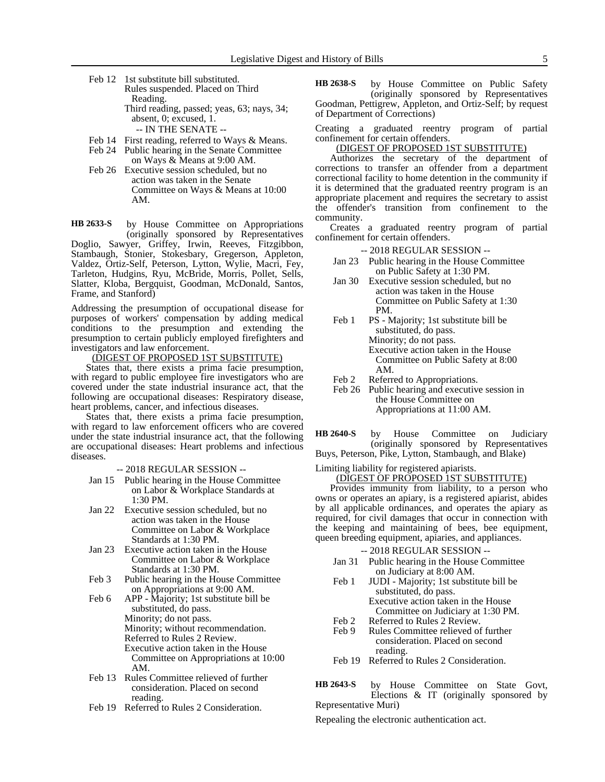Feb 12 1st substitute bill substituted. Rules suspended. Placed on Third Reading. Third reading, passed; yeas, 63; nays, 34; absent, 0; excused, 1.

-- IN THE SENATE --

- Feb 14 First reading, referred to Ways & Means.
- Feb 24 Public hearing in the Senate Committee on Ways & Means at 9:00 AM.
- Feb 26 Executive session scheduled, but no action was taken in the Senate Committee on Ways & Means at 10:00 AM.

by House Committee on Appropriations **HB 2633-S**

(originally sponsored by Representatives Doglio, Sawyer, Griffey, Irwin, Reeves, Fitzgibbon, Stambaugh, Stonier, Stokesbary, Gregerson, Appleton, Valdez, Ortiz-Self, Peterson, Lytton, Wylie, Macri, Fey, Tarleton, Hudgins, Ryu, McBride, Morris, Pollet, Sells, Slatter, Kloba, Bergquist, Goodman, McDonald, Santos, Frame, and Stanford)

Addressing the presumption of occupational disease for purposes of workers' compensation by adding medical conditions to the presumption and extending the presumption to certain publicly employed firefighters and investigators and law enforcement.

(DIGEST OF PROPOSED 1ST SUBSTITUTE)

States that, there exists a prima facie presumption, with regard to public employee fire investigators who are covered under the state industrial insurance act, that the following are occupational diseases: Respiratory disease, heart problems, cancer, and infectious diseases.

States that, there exists a prima facie presumption, with regard to law enforcement officers who are covered under the state industrial insurance act, that the following are occupational diseases: Heart problems and infectious diseases.

- -- 2018 REGULAR SESSION --
- Jan 15 Public hearing in the House Committee on Labor & Workplace Standards at 1:30 PM.
- Jan 22 Executive session scheduled, but no action was taken in the House Committee on Labor & Workplace Standards at 1:30 PM.
- Jan 23 Executive action taken in the House Committee on Labor & Workplace Standards at 1:30 PM.
- Feb 3 Public hearing in the House Committee on Appropriations at 9:00 AM.
- Feb 6 APP Majority; 1st substitute bill be substituted, do pass. Minority; do not pass. Minority; without recommendation. Referred to Rules 2 Review. Executive action taken in the House Committee on Appropriations at 10:00 AM.
- Feb 13 Rules Committee relieved of further consideration. Placed on second reading.
- Feb 19 Referred to Rules 2 Consideration.

by House Committee on Public Safety (originally sponsored by Representatives Goodman, Pettigrew, Appleton, and Ortiz-Self; by request of Department of Corrections) **HB 2638-S**

Creating a graduated reentry program of partial confinement for certain offenders.

# (DIGEST OF PROPOSED 1ST SUBSTITUTE)

Authorizes the secretary of the department of corrections to transfer an offender from a department correctional facility to home detention in the community if it is determined that the graduated reentry program is an appropriate placement and requires the secretary to assist the offender's transition from confinement to the community.

Creates a graduated reentry program of partial confinement for certain offenders.

#### -- 2018 REGULAR SESSION --

- Jan 23 Public hearing in the House Committee on Public Safety at 1:30 PM.
- Jan 30 Executive session scheduled, but no action was taken in the House Committee on Public Safety at 1:30 PM.
- Feb 1 PS Majority; 1st substitute bill be substituted, do pass. Minority; do not pass. Executive action taken in the House Committee on Public Safety at 8:00 AM.
- Feb 2 Referred to Appropriations.
- Feb 26 Public hearing and executive session in the House Committee on Appropriations at 11:00 AM.
- by House Committee on Judiciary (originally sponsored by Representatives Buys, Peterson, Pike, Lytton, Stambaugh, and Blake) **HB 2640-S**

Limiting liability for registered apiarists.

# (DIGEST OF PROPOSED 1ST SUBSTITUTE)

Provides immunity from liability, to a person who owns or operates an apiary, is a registered apiarist, abides by all applicable ordinances, and operates the apiary as required, for civil damages that occur in connection with the keeping and maintaining of bees, bee equipment, queen breeding equipment, apiaries, and appliances.

- -- 2018 REGULAR SESSION --
- Jan 31 Public hearing in the House Committee on Judiciary at 8:00 AM.
- Feb 1 JUDI Majority; 1st substitute bill be substituted, do pass. Executive action taken in the House Committee on Judiciary at 1:30 PM.
- Feb 2 Referred to Rules 2 Review.<br>Feb 9 Rules Committee relieved of
- Rules Committee relieved of further consideration. Placed on second reading.
- Feb 19 Referred to Rules 2 Consideration.

by House Committee on State Govt, Elections & IT (originally sponsored by Representative Muri) **HB 2643-S**

Repealing the electronic authentication act.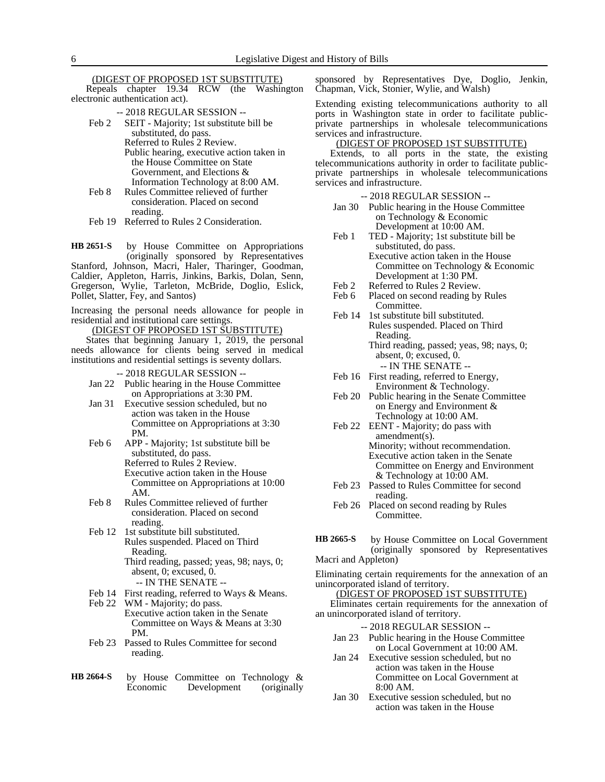#### (DIGEST OF PROPOSED 1ST SUBSTITUTE)

Repeals chapter 19.34 RCW (the Washington electronic authentication act).

-- 2018 REGULAR SESSION --

Feb 2 SEIT - Majority; 1st substitute bill be substituted, do pass. Referred to Rules 2 Review. Public hearing, executive action taken in the House Committee on State Government, and Elections & Information Technology at 8:00 AM.

Feb 8 Rules Committee relieved of further consideration. Placed on second reading.

Feb 19 Referred to Rules 2 Consideration.

by House Committee on Appropriations (originally sponsored by Representatives Stanford, Johnson, Macri, Haler, Tharinger, Goodman, Caldier, Appleton, Harris, Jinkins, Barkis, Dolan, Senn, Gregerson, Wylie, Tarleton, McBride, Doglio, Eslick, Pollet, Slatter, Fey, and Santos) **HB 2651-S**

Increasing the personal needs allowance for people in residential and institutional care settings.

(DIGEST OF PROPOSED 1ST SUBSTITUTE)

States that beginning January 1, 2019, the personal needs allowance for clients being served in medical institutions and residential settings is seventy dollars.

-- 2018 REGULAR SESSION --

- Jan 22 Public hearing in the House Committee on Appropriations at 3:30 PM.
- Jan 31 Executive session scheduled, but no action was taken in the House Committee on Appropriations at 3:30 PM.
- Feb 6 APP Majority; 1st substitute bill be substituted, do pass. Referred to Rules 2 Review. Executive action taken in the House
	- Committee on Appropriations at 10:00 AM.
- Feb 8 Rules Committee relieved of further consideration. Placed on second reading.
- Feb 12 1st substitute bill substituted. Rules suspended. Placed on Third Reading.
	- Third reading, passed; yeas, 98; nays, 0; absent, 0; excused, 0.
		- -- IN THE SENATE --
- Feb 14 First reading, referred to Ways & Means.<br>Feb 22 WM Majority; do pass. WM - Majority; do pass.
- Executive action taken in the Senate Committee on Ways & Means at 3:30 PM.
- Feb 23 Passed to Rules Committee for second reading.
- by House Committee on Technology & Economic Development (originally **HB 2664-S**

sponsored by Representatives Dye, Doglio, Jenkin, Chapman, Vick, Stonier, Wylie, and Walsh)

Extending existing telecommunications authority to all ports in Washington state in order to facilitate publicprivate partnerships in wholesale telecommunications services and infrastructure.

#### (DIGEST OF PROPOSED 1ST SUBSTITUTE)

Extends, to all ports in the state, the existing telecommunications authority in order to facilitate publicprivate partnerships in wholesale telecommunications services and infrastructure.

## -- 2018 REGULAR SESSION --

- Jan 30 Public hearing in the House Committee on Technology & Economic Development at 10:00 AM.
- Feb 1 TED Majority; 1st substitute bill be substituted, do pass. Executive action taken in the House Committee on Technology & Economic Development at 1:30 PM.
- Feb 2 Referred to Rules 2 Review.
- Feb 6 Placed on second reading by Rules Committee.
- Feb 14 1st substitute bill substituted. Rules suspended. Placed on Third Reading. Third reading, passed; yeas, 98; nays, 0; absent, 0; excused, 0.
	- -- IN THE SENATE --
- Feb 16 First reading, referred to Energy, Environment & Technology.
- Feb 20 Public hearing in the Senate Committee on Energy and Environment & Technology at 10:00 AM.
- Feb 22 EENT Majority; do pass with amendment(s). Minority; without recommendation. Executive action taken in the Senate Committee on Energy and Environment & Technology at 10:00 AM.
- Feb 23 Passed to Rules Committee for second reading.
- Feb 26 Placed on second reading by Rules Committee.
- by House Committee on Local Government (originally sponsored by Representatives Macri and Appleton) **HB 2665-S**

Eliminating certain requirements for the annexation of an unincorporated island of territory.

# (DIGEST OF PROPOSED 1ST SUBSTITUTE)

Eliminates certain requirements for the annexation of an unincorporated island of territory.

- Jan 23 Public hearing in the House Committee on Local Government at 10:00 AM.
- Jan 24 Executive session scheduled, but no action was taken in the House Committee on Local Government at 8:00 AM.
- Jan 30 Executive session scheduled, but no action was taken in the House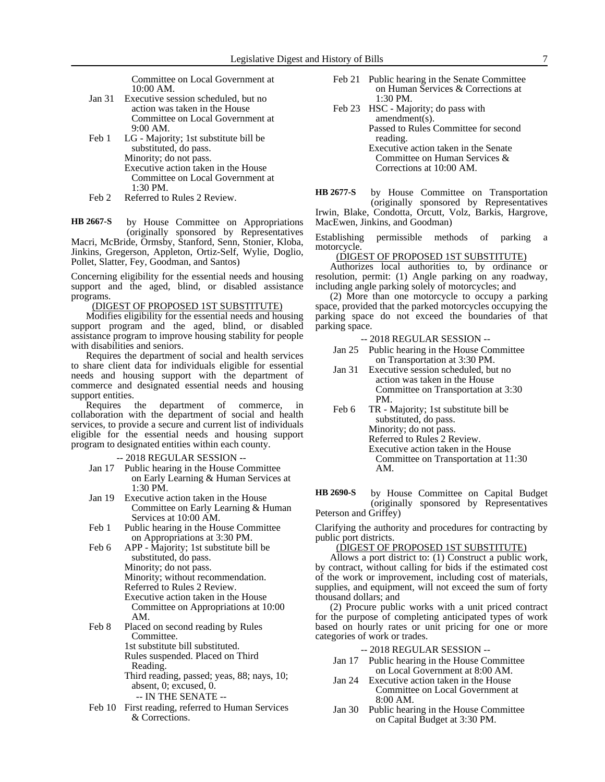Committee on Local Government at 10:00 AM.

- Jan 31 Executive session scheduled, but no action was taken in the House Committee on Local Government at 9:00 AM.
- Feb 1 LG Majority; 1st substitute bill be substituted, do pass. Minority; do not pass. Executive action taken in the House Committee on Local Government at 1:30 PM.
- Feb 2 Referred to Rules 2 Review.

by House Committee on Appropriations (originally sponsored by Representatives Macri, McBride, Ormsby, Stanford, Senn, Stonier, Kloba, Jinkins, Gregerson, Appleton, Ortiz-Self, Wylie, Doglio, Pollet, Slatter, Fey, Goodman, and Santos) **HB 2667-S**

Concerning eligibility for the essential needs and housing support and the aged, blind, or disabled assistance programs.

(DIGEST OF PROPOSED 1ST SUBSTITUTE)

Modifies eligibility for the essential needs and housing support program and the aged, blind, or disabled assistance program to improve housing stability for people with disabilities and seniors.

Requires the department of social and health services to share client data for individuals eligible for essential needs and housing support with the department of commerce and designated essential needs and housing support entities.

Requires the department of commerce, in collaboration with the department of social and health services, to provide a secure and current list of individuals eligible for the essential needs and housing support program to designated entities within each county.

-- 2018 REGULAR SESSION --

- Jan 17 Public hearing in the House Committee on Early Learning & Human Services at 1:30 PM.
- Jan 19 Executive action taken in the House Committee on Early Learning & Human Services at 10:00 AM.
- Feb 1 Public hearing in the House Committee on Appropriations at 3:30 PM.
- Feb 6 APP Majority; 1st substitute bill be substituted, do pass.

Minority; do not pass.

Minority; without recommendation.

- Referred to Rules 2 Review.
- Executive action taken in the House Committee on Appropriations at 10:00 AM.
- Feb 8 Placed on second reading by Rules Committee. 1st substitute bill substituted.

Rules suspended. Placed on Third

Reading.

Third reading, passed; yeas, 88; nays, 10; absent, 0; excused, 0.

- -- IN THE SENATE --
- Feb 10 First reading, referred to Human Services & Corrections.
- Feb 21 Public hearing in the Senate Committee on Human Services & Corrections at 1:30 PM.
- Feb 23 HSC Majority; do pass with amendment(s). Passed to Rules Committee for second reading. Executive action taken in the Senate Committee on Human Services & Corrections at 10:00 AM.

by House Committee on Transportation (originally sponsored by Representatives Irwin, Blake, Condotta, Orcutt, Volz, Barkis, Hargrove, MacEwen, Jinkins, and Goodman) **HB 2677-S**

Establishing permissible methods of parking a motorcycle.

# (DIGEST OF PROPOSED 1ST SUBSTITUTE)

Authorizes local authorities to, by ordinance or resolution, permit: (1) Angle parking on any roadway, including angle parking solely of motorcycles; and

(2) More than one motorcycle to occupy a parking space, provided that the parked motorcycles occupying the parking space do not exceed the boundaries of that parking space.

-- 2018 REGULAR SESSION --

- Jan 25 Public hearing in the House Committee on Transportation at 3:30 PM.
- Jan 31 Executive session scheduled, but no action was taken in the House Committee on Transportation at 3:30 PM.
- Feb 6 TR Majority; 1st substitute bill be substituted, do pass. Minority; do not pass. Referred to Rules 2 Review. Executive action taken in the House Committee on Transportation at 11:30 AM.

by House Committee on Capital Budget (originally sponsored by Representatives Peterson and Griffey) **HB 2690-S**

Clarifying the authority and procedures for contracting by public port districts.

(DIGEST OF PROPOSED 1ST SUBSTITUTE)

Allows a port district to: (1) Construct a public work, by contract, without calling for bids if the estimated cost of the work or improvement, including cost of materials, supplies, and equipment, will not exceed the sum of forty thousand dollars; and

(2) Procure public works with a unit priced contract for the purpose of completing anticipated types of work based on hourly rates or unit pricing for one or more categories of work or trades.

- -- 2018 REGULAR SESSION --
- Jan 17 Public hearing in the House Committee on Local Government at 8:00 AM.
- Jan 24 Executive action taken in the House Committee on Local Government at 8:00 AM.
- Jan 30 Public hearing in the House Committee on Capital Budget at 3:30 PM.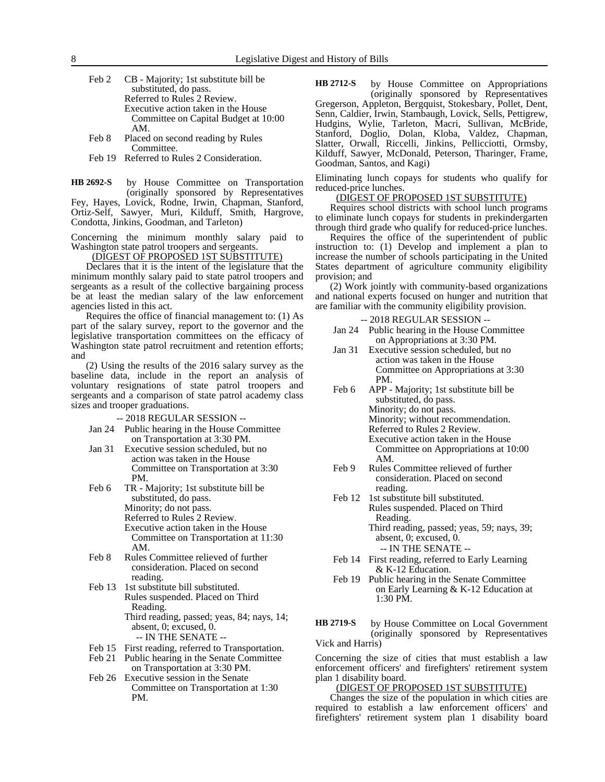- Feb 2 CB Majority; 1st substitute bill be substituted, do pass. Referred to Rules 2 Review. Executive action taken in the House Committee on Capital Budget at 10:00 AM.
- Feb 8 Placed on second reading by Rules Committee.
- Feb 19 Referred to Rules 2 Consideration.

by House Committee on Transportation (originally sponsored by Representatives Fey, Hayes, Lovick, Rodne, Irwin, Chapman, Stanford, Ortiz-Self, Sawyer, Muri, Kilduff, Smith, Hargrove, Condotta, Jinkins, Goodman, and Tarleton) **HB 2692-S**

Concerning the minimum monthly salary paid to Washington state patrol troopers and sergeants.

(DIGEST OF PROPOSED 1ST SUBSTITUTE)

Declares that it is the intent of the legislature that the minimum monthly salary paid to state patrol troopers and sergeants as a result of the collective bargaining process be at least the median salary of the law enforcement agencies listed in this act.

Requires the office of financial management to: (1) As part of the salary survey, report to the governor and the legislative transportation committees on the efficacy of Washington state patrol recruitment and retention efforts; and

(2) Using the results of the 2016 salary survey as the baseline data, include in the report an analysis of voluntary resignations of state patrol troopers and sergeants and a comparison of state patrol academy class sizes and trooper graduations.

- -- 2018 REGULAR SESSION --
- Jan 24 Public hearing in the House Committee on Transportation at 3:30 PM.
- Jan 31 Executive session scheduled, but no action was taken in the House Committee on Transportation at 3:30 PM.
- Feb 6 TR Majority; 1st substitute bill be substituted, do pass. Minority; do not pass. Referred to Rules 2 Review. Executive action taken in the House Committee on Transportation at 11:30 AM.
- Feb 8 Rules Committee relieved of further consideration. Placed on second reading.
- Feb 13 1st substitute bill substituted. Rules suspended. Placed on Third Reading. Third reading, passed; yeas, 84; nays, 14; absent, 0; excused, 0.
	- -- IN THE SENATE --
- Feb 15 First reading, referred to Transportation.
- Feb 21 Public hearing in the Senate Committee on Transportation at 3:30 PM.
- Feb 26 Executive session in the Senate Committee on Transportation at 1:30 PM.

by House Committee on Appropriations (originally sponsored by Representatives Gregerson, Appleton, Bergquist, Stokesbary, Pollet, Dent, Senn, Caldier, Irwin, Stambaugh, Lovick, Sells, Pettigrew, Hudgins, Wylie, Tarleton, Macri, Sullivan, McBride, Stanford, Doglio, Dolan, Kloba, Valdez, Chapman, Slatter, Orwall, Riccelli, Jinkins, Pellicciotti, Ormsby, Kilduff, Sawyer, McDonald, Peterson, Tharinger, Frame, Goodman, Santos, and Kagi) **HB 2712-S**

Eliminating lunch copays for students who qualify for reduced-price lunches.

# (DIGEST OF PROPOSED 1ST SUBSTITUTE)

Requires school districts with school lunch programs to eliminate lunch copays for students in prekindergarten through third grade who qualify for reduced-price lunches.

Requires the office of the superintendent of public instruction to: (1) Develop and implement a plan to increase the number of schools participating in the United States department of agriculture community eligibility provision; and

(2) Work jointly with community-based organizations and national experts focused on hunger and nutrition that are familiar with the community eligibility provision.

-- 2018 REGULAR SESSION --

- Jan 24 Public hearing in the House Committee on Appropriations at 3:30 PM.
- Jan 31 Executive session scheduled, but no action was taken in the House Committee on Appropriations at 3:30 PM.
- Feb 6 APP Majority; 1st substitute bill be substituted, do pass. Minority; do not pass. Minority; without recommendation. Referred to Rules 2 Review. Executive action taken in the House Committee on Appropriations at 10:00 AM.
- Feb 9 Rules Committee relieved of further consideration. Placed on second reading.
- Feb 12 1st substitute bill substituted. Rules suspended. Placed on Third Reading. Third reading, passed; yeas, 59; nays, 39; absent, 0; excused, 0. -- IN THE SENATE --
- Feb 14 First reading, referred to Early Learning & K-12 Education.
- Feb 19 Public hearing in the Senate Committee on Early Learning & K-12 Education at 1:30 PM.

by House Committee on Local Government (originally sponsored by Representatives Vick and Harris) **HB 2719-S**

Concerning the size of cities that must establish a law enforcement officers' and firefighters' retirement system plan 1 disability board.

# (DIGEST OF PROPOSED 1ST SUBSTITUTE)

Changes the size of the population in which cities are required to establish a law enforcement officers' and firefighters' retirement system plan 1 disability board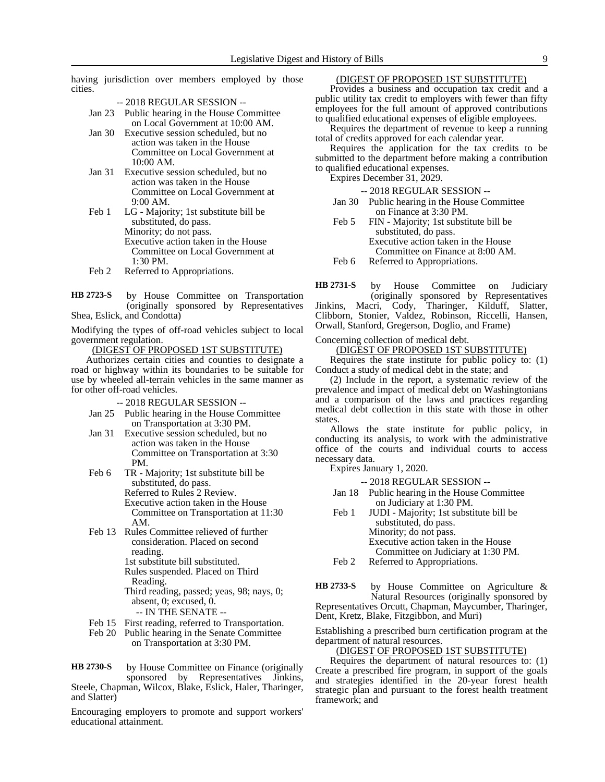having jurisdiction over members employed by those cities.

- -- 2018 REGULAR SESSION --
- Jan 23 Public hearing in the House Committee on Local Government at 10:00 AM.
- Jan 30 Executive session scheduled, but no action was taken in the House Committee on Local Government at 10:00 AM.
- Jan 31 Executive session scheduled, but no action was taken in the House Committee on Local Government at 9:00 AM.
- Feb 1 LG Majority; 1st substitute bill be substituted, do pass. Minority; do not pass. Executive action taken in the House Committee on Local Government at 1:30 PM.
- Feb 2 Referred to Appropriations.
- by House Committee on Transportation (originally sponsored by Representatives Shea, Eslick, and Condotta) **HB 2723-S**

Modifying the types of off-road vehicles subject to local government regulation.

(DIGEST OF PROPOSED 1ST SUBSTITUTE)

Authorizes certain cities and counties to designate a road or highway within its boundaries to be suitable for use by wheeled all-terrain vehicles in the same manner as for other off-road vehicles.

- -- 2018 REGULAR SESSION --
- Jan 25 Public hearing in the House Committee on Transportation at 3:30 PM.
- Jan 31 Executive session scheduled, but no action was taken in the House Committee on Transportation at 3:30 PM.
- Feb 6 TR Majority; 1st substitute bill be substituted, do pass. Referred to Rules 2 Review. Executive action taken in the House Committee on Transportation at 11:30 AM.
- Feb 13 Rules Committee relieved of further consideration. Placed on second reading. 1st substitute bill substituted.
	- Rules suspended. Placed on Third Reading.
	- Third reading, passed; yeas, 98; nays, 0; absent, 0; excused, 0.
		- -- IN THE SENATE --
- Feb 15 First reading, referred to Transportation.
- Feb 20 Public hearing in the Senate Committee on Transportation at 3:30 PM.

by House Committee on Finance (originally sponsored by Representatives Jinkins, Steele, Chapman, Wilcox, Blake, Eslick, Haler, Tharinger, and Slatter) **HB 2730-S**

Encouraging employers to promote and support workers' educational attainment.

# (DIGEST OF PROPOSED 1ST SUBSTITUTE)

Provides a business and occupation tax credit and a public utility tax credit to employers with fewer than fifty employees for the full amount of approved contributions to qualified educational expenses of eligible employees.

Requires the department of revenue to keep a running total of credits approved for each calendar year.

Requires the application for the tax credits to be submitted to the department before making a contribution to qualified educational expenses.

Expires December 31, 2029.

- -- 2018 REGULAR SESSION --
- Jan 30 Public hearing in the House Committee on Finance at 3:30 PM.
- Feb 5 FIN Majority; 1st substitute bill be substituted, do pass. Executive action taken in the House Committee on Finance at 8:00 AM.
- Feb 6 Referred to Appropriations.

by House Committee on Judiciary **HB 2731-S**

(originally sponsored by Representatives Jinkins, Macri, Cody, Tharinger, Kilduff, Slatter, Clibborn, Stonier, Valdez, Robinson, Riccelli, Hansen, Orwall, Stanford, Gregerson, Doglio, and Frame)

Concerning collection of medical debt.

(DIGEST OF PROPOSED 1ST SUBSTITUTE)

Requires the state institute for public policy to: (1) Conduct a study of medical debt in the state; and

(2) Include in the report, a systematic review of the prevalence and impact of medical debt on Washingtonians and a comparison of the laws and practices regarding medical debt collection in this state with those in other states.

Allows the state institute for public policy, in conducting its analysis, to work with the administrative office of the courts and individual courts to access necessary data.

Expires January 1, 2020.

-- 2018 REGULAR SESSION --

- Jan 18 Public hearing in the House Committee on Judiciary at 1:30 PM.
- Feb 1 JUDI Majority; 1st substitute bill be substituted, do pass.
	- Minority; do not pass. Executive action taken in the House
		- Committee on Judiciary at 1:30 PM.
- Feb 2 Referred to Appropriations.

by House Committee on Agriculture & Natural Resources (originally sponsored by Representatives Orcutt, Chapman, Maycumber, Tharinger, Dent, Kretz, Blake, Fitzgibbon, and Muri) **HB 2733-S**

Establishing a prescribed burn certification program at the department of natural resources.

(DIGEST OF PROPOSED 1ST SUBSTITUTE)

Requires the department of natural resources to: (1) Create a prescribed fire program, in support of the goals and strategies identified in the 20-year forest health strategic plan and pursuant to the forest health treatment framework; and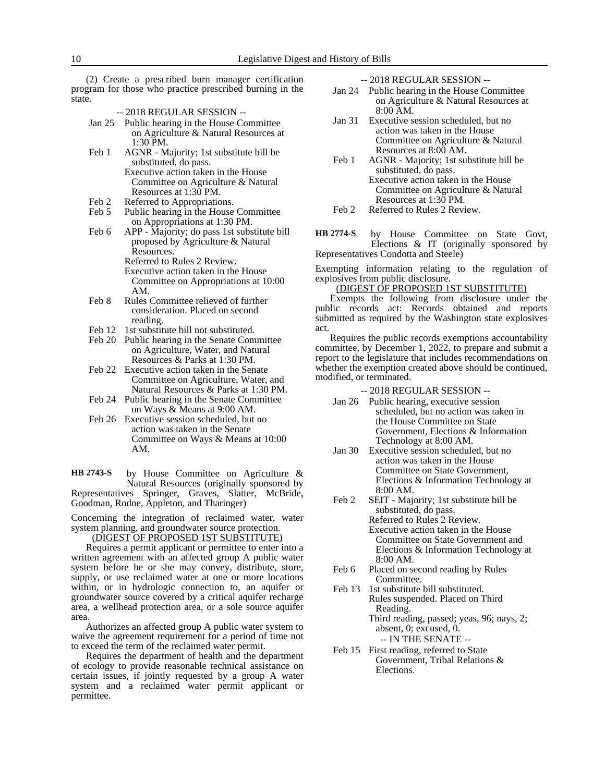(2) Create a prescribed burn manager certification program for those who practice prescribed burning in the state.

- -- 2018 REGULAR SESSION --
- Jan 25 Public hearing in the House Committee on Agriculture & Natural Resources at 1:30 PM.
- Feb 1 AGNR Majority; 1st substitute bill be substituted, do pass.
	- Executive action taken in the House Committee on Agriculture & Natural Resources at 1:30 PM.
- Feb 2 Referred to Appropriations.<br>Feb 5 Public hearing in the House
- Public hearing in the House Committee on Appropriations at 1:30 PM.
- Feb 6 APP Majority; do pass 1st substitute bill proposed by Agriculture & Natural Resources. Referred to Rules 2 Review. Executive action taken in the House Committee on Appropriations at 10:00
- AM. Feb 8 Rules Committee relieved of further consideration. Placed on second reading.
- Feb 12 1st substitute bill not substituted.
- Feb 20 Public hearing in the Senate Committee on Agriculture, Water, and Natural Resources & Parks at 1:30 PM.
- Feb 22 Executive action taken in the Senate Committee on Agriculture, Water, and Natural Resources & Parks at 1:30 PM.
- Feb 24 Public hearing in the Senate Committee on Ways & Means at 9:00 AM.
- Feb 26 Executive session scheduled, but no action was taken in the Senate Committee on Ways & Means at 10:00 AM.

by House Committee on Agriculture & Natural Resources (originally sponsored by Representatives Springer, Graves, Slatter, McBride, Goodman, Rodne, Appleton, and Tharinger) **HB 2743-S**

Concerning the integration of reclaimed water, water system planning, and groundwater source protection.

(DIGEST OF PROPOSED 1ST SUBSTITUTE)

Requires a permit applicant or permittee to enter into a written agreement with an affected group A public water system before he or she may convey, distribute, store, supply, or use reclaimed water at one or more locations within, or in hydrologic connection to, an aquifer or groundwater source covered by a critical aquifer recharge area, a wellhead protection area, or a sole source aquifer area.

Authorizes an affected group A public water system to waive the agreement requirement for a period of time not to exceed the term of the reclaimed water permit.

Requires the department of health and the department of ecology to provide reasonable technical assistance on certain issues, if jointly requested by a group A water system and a reclaimed water permit applicant or permittee.

-- 2018 REGULAR SESSION --

- Jan 24 Public hearing in the House Committee on Agriculture & Natural Resources at 8:00 AM.
- Jan 31 Executive session scheduled, but no action was taken in the House Committee on Agriculture & Natural Resources at 8:00 AM.
- Feb 1 AGNR Majority; 1st substitute bill be substituted, do pass. Executive action taken in the House Committee on Agriculture & Natural Resources at 1:30 PM.
- Feb 2 Referred to Rules 2 Review.
- by House Committee on State Govt, Elections & IT (originally sponsored by Representatives Condotta and Steele) **HB 2774-S**

Exempting information relating to the regulation of explosives from public disclosure.

#### (DIGEST OF PROPOSED 1ST SUBSTITUTE)

Exempts the following from disclosure under the public records act: Records obtained and reports submitted as required by the Washington state explosives act.

Requires the public records exemptions accountability committee, by December 1, 2022, to prepare and submit a report to the legislature that includes recommendations on whether the exemption created above should be continued, modified, or terminated.

- Jan 26 Public hearing, executive session scheduled, but no action was taken in the House Committee on State Government, Elections & Information Technology at 8:00 AM.
- Jan 30 Executive session scheduled, but no action was taken in the House Committee on State Government, Elections & Information Technology at 8:00 AM.
- Feb 2 SEIT Majority; 1st substitute bill be substituted, do pass. Referred to Rules 2 Review. Executive action taken in the House Committee on State Government and Elections & Information Technology at 8:00 AM.
- Feb 6 Placed on second reading by Rules Committee.
- Feb 13 1st substitute bill substituted. Rules suspended. Placed on Third Reading. Third reading, passed; yeas, 96; nays, 2; absent, 0; excused, 0.
	- -- IN THE SENATE --
- Feb 15 First reading, referred to State Government, Tribal Relations & Elections.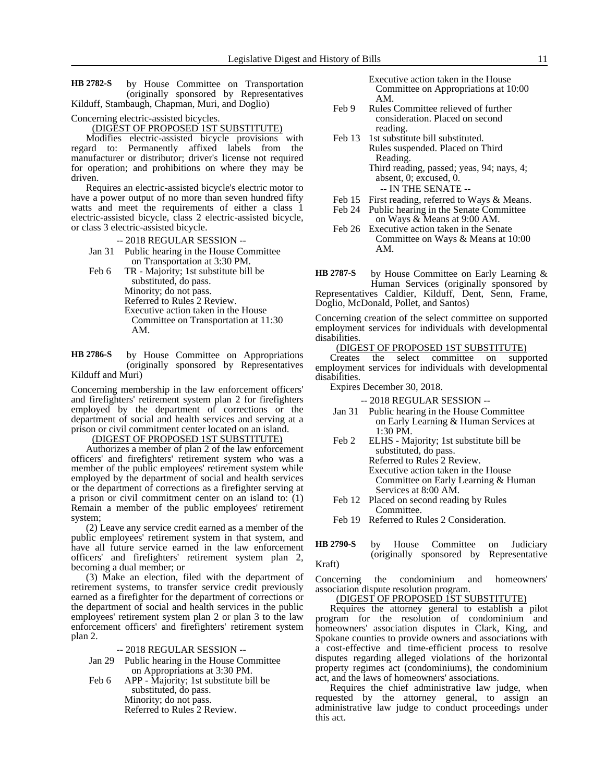by House Committee on Transportation (originally sponsored by Representatives Kilduff, Stambaugh, Chapman, Muri, and Doglio) **HB 2782-S**

Concerning electric-assisted bicycles.

# (DIGEST OF PROPOSED 1ST SUBSTITUTE)

Modifies electric-assisted bicycle provisions with regard to: Permanently affixed labels from the manufacturer or distributor; driver's license not required for operation; and prohibitions on where they may be driven.

Requires an electric-assisted bicycle's electric motor to have a power output of no more than seven hundred fifty watts and meet the requirements of either a class 1 electric-assisted bicycle, class 2 electric-assisted bicycle, or class 3 electric-assisted bicycle.

-- 2018 REGULAR SESSION --

Jan 31 Public hearing in the House Committee on Transportation at 3:30 PM.

Feb 6 TR - Majority; 1st substitute bill be substituted, do pass. Minority; do not pass. Referred to Rules 2 Review. Executive action taken in the House Committee on Transportation at 11:30 AM.

by House Committee on Appropriations (originally sponsored by Representatives Kilduff and Muri) **HB 2786-S**

Concerning membership in the law enforcement officers' and firefighters' retirement system plan 2 for firefighters employed by the department of corrections or the department of social and health services and serving at a prison or civil commitment center located on an island.

# (DIGEST OF PROPOSED 1ST SUBSTITUTE)

Authorizes a member of plan 2 of the law enforcement officers' and firefighters' retirement system who was a member of the public employees' retirement system while employed by the department of social and health services or the department of corrections as a firefighter serving at a prison or civil commitment center on an island to: (1) Remain a member of the public employees' retirement system;

(2) Leave any service credit earned as a member of the public employees' retirement system in that system, and have all future service earned in the law enforcement officers' and firefighters' retirement system plan 2, becoming a dual member; or

(3) Make an election, filed with the department of retirement systems, to transfer service credit previously earned as a firefighter for the department of corrections or the department of social and health services in the public employees' retirement system plan 2 or plan 3 to the law enforcement officers' and firefighters' retirement system plan 2.

-- 2018 REGULAR SESSION --

- Jan 29 Public hearing in the House Committee on Appropriations at 3:30 PM.
- Feb 6 APP Majority; 1st substitute bill be substituted, do pass. Minority; do not pass. Referred to Rules 2 Review.

Executive action taken in the House Committee on Appropriations at 10:00 AM.

- Feb 9 Rules Committee relieved of further consideration. Placed on second reading.
- Feb 13 1st substitute bill substituted. Rules suspended. Placed on Third Reading. Third reading, passed; yeas, 94; nays, 4; absent, 0; excused, 0. -- IN THE SENATE --
- 
- Feb 15 First reading, referred to Ways & Means. Feb 24 Public hearing in the Senate Committee
- on Ways & Means at 9:00 AM.
- Feb 26 Executive action taken in the Senate Committee on Ways & Means at 10:00 AM.

by House Committee on Early Learning & Human Services (originally sponsored by Representatives Caldier, Kilduff, Dent, Senn, Frame, Doglio, McDonald, Pollet, and Santos) **HB 2787-S**

Concerning creation of the select committee on supported employment services for individuals with developmental disabilities.

# (DIGEST OF PROPOSED 1ST SUBSTITUTE)

Creates the select committee on supported employment services for individuals with developmental disabilities.

Expires December 30, 2018.

-- 2018 REGULAR SESSION --

- Jan 31 Public hearing in the House Committee on Early Learning & Human Services at 1:30 PM.
- Feb 2 ELHS Majority; 1st substitute bill be substituted, do pass. Referred to Rules 2 Review. Executive action taken in the House Committee on Early Learning & Human Services at 8:00 AM.
- Feb 12 Placed on second reading by Rules Committee.
- Feb 19 Referred to Rules 2 Consideration.

by House Committee on Judiciary (originally sponsored by Representative Kraft) **HB 2790-S**

Concerning the condominium and homeowners' association dispute resolution program.

(DIGEST OF PROPOSED 1ST SUBSTITUTE)

Requires the attorney general to establish a pilot program for the resolution of condominium and homeowners' association disputes in Clark, King, and Spokane counties to provide owners and associations with a cost-effective and time-efficient process to resolve disputes regarding alleged violations of the horizontal property regimes act (condominiums), the condominium act, and the laws of homeowners' associations.

Requires the chief administrative law judge, when requested by the attorney general, to assign an administrative law judge to conduct proceedings under this act.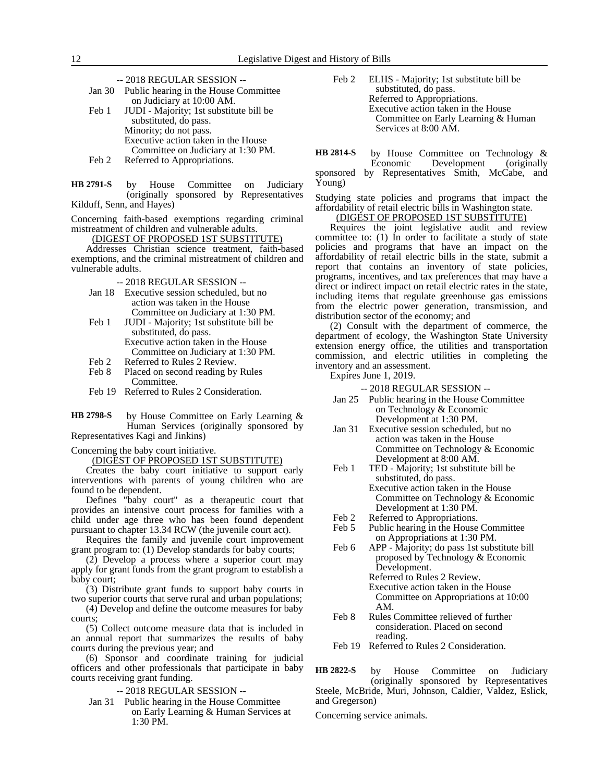-- 2018 REGULAR SESSION --

| Jan 30 | Public hearing in the House Committee   |
|--------|-----------------------------------------|
|        | on Judiciary at 10:00 AM.               |
| Feb 1  | JUDI - Majority; 1st substitute bill be |
|        | substituted, do pass.                   |

- Minority; do not pass. Executive action taken in the House Committee on Judiciary at 1:30 PM.
- Feb 2 Referred to Appropriations.
- by House Committee on Judiciary (originally sponsored by Representatives Kilduff, Senn, and Hayes) **HB 2791-S**

Concerning faith-based exemptions regarding criminal mistreatment of children and vulnerable adults.

(DIGEST OF PROPOSED 1ST SUBSTITUTE)

Addresses Christian science treatment, faith-based exemptions, and the criminal mistreatment of children and vulnerable adults.

-- 2018 REGULAR SESSION --

- Jan 18 Executive session scheduled, but no action was taken in the House Committee on Judiciary at 1:30 PM.
- Feb 1 JUDI Majority; 1st substitute bill be substituted, do pass. Executive action taken in the House Committee on Judiciary at 1:30 PM.
- Feb 2 Referred to Rules 2 Review.
- Feb 8 Placed on second reading by Rules Committee.
- Feb 19 Referred to Rules 2 Consideration.

by House Committee on Early Learning & Human Services (originally sponsored by Representatives Kagi and Jinkins) **HB 2798-S**

Concerning the baby court initiative.

(DIGEST OF PROPOSED 1ST SUBSTITUTE)

Creates the baby court initiative to support early interventions with parents of young children who are found to be dependent.

Defines "baby court" as a therapeutic court that provides an intensive court process for families with a child under age three who has been found dependent pursuant to chapter 13.34 RCW (the juvenile court act).

Requires the family and juvenile court improvement grant program to: (1) Develop standards for baby courts;

(2) Develop a process where a superior court may apply for grant funds from the grant program to establish a baby court;

(3) Distribute grant funds to support baby courts in two superior courts that serve rural and urban populations;

(4) Develop and define the outcome measures for baby courts;

(5) Collect outcome measure data that is included in an annual report that summarizes the results of baby courts during the previous year; and

(6) Sponsor and coordinate training for judicial officers and other professionals that participate in baby courts receiving grant funding.

-- 2018 REGULAR SESSION --

Jan 31 Public hearing in the House Committee on Early Learning & Human Services at 1:30 PM.

Feb 2 ELHS - Majority; 1st substitute bill be substituted, do pass. Referred to Appropriations. Executive action taken in the House Committee on Early Learning & Human Services at 8:00 AM.

by House Committee on Technology & Economic Development (originally sponsored by Representatives Smith, McCabe, and Young) **HB 2814-S**

Studying state policies and programs that impact the affordability of retail electric bills in Washington state.

# (DIGEST OF PROPOSED 1ST SUBSTITUTE)

Requires the joint legislative audit and review committee to: (1) In order to facilitate a study of state policies and programs that have an impact on the affordability of retail electric bills in the state, submit a report that contains an inventory of state policies, programs, incentives, and tax preferences that may have a direct or indirect impact on retail electric rates in the state, including items that regulate greenhouse gas emissions from the electric power generation, transmission, and distribution sector of the economy; and

(2) Consult with the department of commerce, the department of ecology, the Washington State University extension energy office, the utilities and transportation commission, and electric utilities in completing the inventory and an assessment.

Expires June 1, 2019.

-- 2018 REGULAR SESSION --

- Jan 25 Public hearing in the House Committee on Technology & Economic Development at 1:30 PM.
- Jan 31 Executive session scheduled, but no action was taken in the House Committee on Technology & Economic Development at 8:00 AM.
- Feb 1 TED Majority; 1st substitute bill be substituted, do pass. Executive action taken in the House Committee on Technology & Economic Development at 1:30 PM.
- Feb 2 Referred to Appropriations.<br>Feb 5 Public hearing in the House
- Public hearing in the House Committee on Appropriations at 1:30 PM.
- Feb 6 APP Majority; do pass 1st substitute bill proposed by Technology & Economic Development. Referred to Rules 2 Review. Executive action taken in the House
	- Committee on Appropriations at 10:00 AM.
- Feb 8 Rules Committee relieved of further consideration. Placed on second reading.
- Feb 19 Referred to Rules 2 Consideration.

by House Committee on Judiciary (originally sponsored by Representatives Steele, McBride, Muri, Johnson, Caldier, Valdez, Eslick, and Gregerson) **HB 2822-S**

Concerning service animals.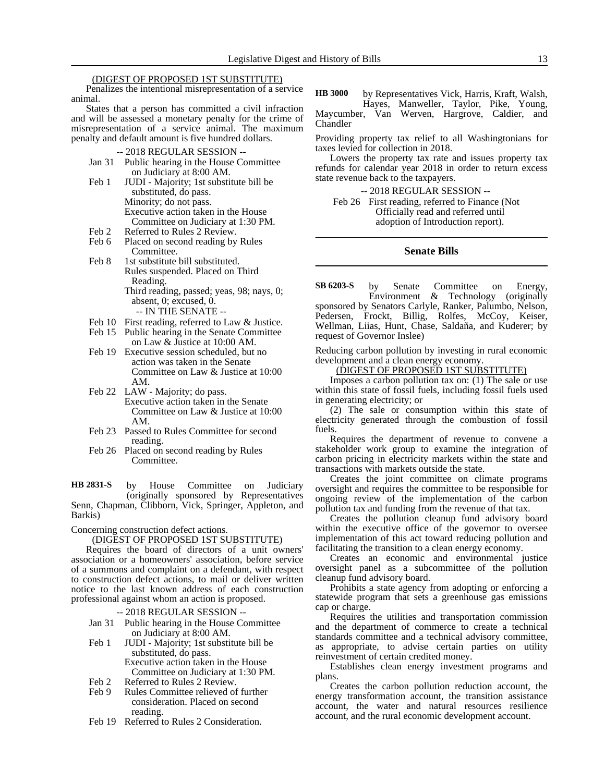#### (DIGEST OF PROPOSED 1ST SUBSTITUTE)

Penalizes the intentional misrepresentation of a service animal.

States that a person has committed a civil infraction and will be assessed a monetary penalty for the crime of misrepresentation of a service animal. The maximum penalty and default amount is five hundred dollars.

-- 2018 REGULAR SESSION --

- Jan 31 Public hearing in the House Committee on Judiciary at 8:00 AM.
- Feb 1 JUDI Majority; 1st substitute bill be substituted, do pass. Minority; do not pass. Executive action taken in the House Committee on Judiciary at 1:30 PM.
- Feb 2 Referred to Rules 2 Review.
- Feb 6 Placed on second reading by Rules Committee.
- Feb 8 1st substitute bill substituted. Rules suspended. Placed on Third Reading. Third reading, passed; yeas, 98; nays, 0;

absent, 0; excused, 0.

-- IN THE SENATE --

- Feb 10 First reading, referred to Law & Justice.
- Feb 15 Public hearing in the Senate Committee on Law & Justice at 10:00 AM.
- Feb 19 Executive session scheduled, but no action was taken in the Senate Committee on Law & Justice at 10:00 AM.
- Feb 22 LAW Majority; do pass. Executive action taken in the Senate Committee on Law & Justice at 10:00 AM.
- Feb 23 Passed to Rules Committee for second reading.
- Feb 26 Placed on second reading by Rules Committee.

by House Committee on Judiciary (originally sponsored by Representatives Senn, Chapman, Clibborn, Vick, Springer, Appleton, and Barkis) **HB 2831-S**

Concerning construction defect actions.

(DIGEST OF PROPOSED 1ST SUBSTITUTE)

Requires the board of directors of a unit owners' association or a homeowners' association, before service of a summons and complaint on a defendant, with respect to construction defect actions, to mail or deliver written notice to the last known address of each construction professional against whom an action is proposed.

-- 2018 REGULAR SESSION --

- Jan 31 Public hearing in the House Committee on Judiciary at 8:00 AM.
- Feb 1 JUDI Majority; 1st substitute bill be substituted, do pass. Executive action taken in the House Committee on Judiciary at 1:30 PM.
- Feb 2 Referred to Rules 2 Review.
- Feb 9 Rules Committee relieved of further consideration. Placed on second reading.
- Feb 19 Referred to Rules 2 Consideration.

by Representatives Vick, Harris, Kraft, Walsh, Hayes, Manweller, Taylor, Pike, Young, **HB 3000**

Maycumber, Van Werven, Hargrove, Caldier, and Chandler

Providing property tax relief to all Washingtonians for taxes levied for collection in 2018.

Lowers the property tax rate and issues property tax refunds for calendar year 2018 in order to return excess state revenue back to the taxpayers.

-- 2018 REGULAR SESSION --

Feb 26 First reading, referred to Finance (Not Officially read and referred until adoption of Introduction report).

# **Senate Bills**

by Senate Committee on Energy, Environment & Technology (originally sponsored by Senators Carlyle, Ranker, Palumbo, Nelson, Pedersen, Frockt, Billig, Rolfes, McCoy, Keiser, Wellman, Liias, Hunt, Chase, Saldaña, and Kuderer; by request of Governor Inslee) **SB 6203-S**

Reducing carbon pollution by investing in rural economic development and a clean energy economy.

(DIGEST OF PROPOSED 1ST SUBSTITUTE)

Imposes a carbon pollution tax on: (1) The sale or use within this state of fossil fuels, including fossil fuels used in generating electricity; or

(2) The sale or consumption within this state of electricity generated through the combustion of fossil fuels.

Requires the department of revenue to convene a stakeholder work group to examine the integration of carbon pricing in electricity markets within the state and transactions with markets outside the state.

Creates the joint committee on climate programs oversight and requires the committee to be responsible for ongoing review of the implementation of the carbon pollution tax and funding from the revenue of that tax.

Creates the pollution cleanup fund advisory board within the executive office of the governor to oversee implementation of this act toward reducing pollution and facilitating the transition to a clean energy economy.

Creates an economic and environmental justice oversight panel as a subcommittee of the pollution cleanup fund advisory board.

Prohibits a state agency from adopting or enforcing a statewide program that sets a greenhouse gas emissions cap or charge.

Requires the utilities and transportation commission and the department of commerce to create a technical standards committee and a technical advisory committee, as appropriate, to advise certain parties on utility reinvestment of certain credited money.

Establishes clean energy investment programs and plans.

Creates the carbon pollution reduction account, the energy transformation account, the transition assistance account, the water and natural resources resilience account, and the rural economic development account.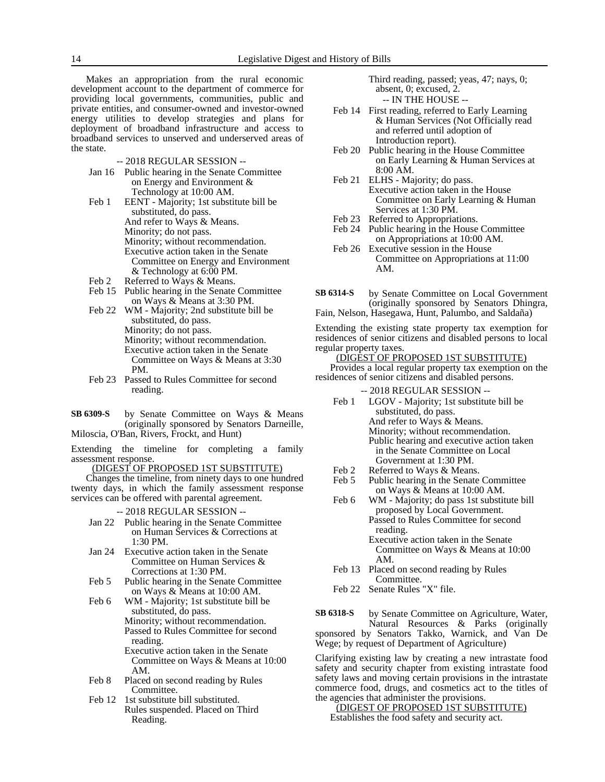Makes an appropriation from the rural economic development account to the department of commerce for providing local governments, communities, public and private entities, and consumer-owned and investor-owned energy utilities to develop strategies and plans for deployment of broadband infrastructure and access to broadband services to unserved and underserved areas of the state.

- -- 2018 REGULAR SESSION --
- Jan 16 Public hearing in the Senate Committee on Energy and Environment & Technology at 10:00 AM.
- Feb 1 EENT Majority; 1st substitute bill be substituted, do pass. And refer to Ways & Means. Minority; do not pass. Minority; without recommendation. Executive action taken in the Senate Committee on Energy and Environment & Technology at 6:00 PM.
- Feb 2 Referred to Ways & Means.
- Feb 15 Public hearing in the Senate Committee on Ways & Means at 3:30 PM.
- Feb 22 WM Majority; 2nd substitute bill be substituted, do pass. Minority; do not pass. Minority; without recommendation. Executive action taken in the Senate Committee on Ways & Means at 3:30 PM.
- Feb 23 Passed to Rules Committee for second reading.
- by Senate Committee on Ways & Means (originally sponsored by Senators Darneille, Miloscia, O'Ban, Rivers, Frockt, and Hunt) **SB 6309-S**

Extending the timeline for completing a family assessment response.

(DIGEST OF PROPOSED 1ST SUBSTITUTE)

Changes the timeline, from ninety days to one hundred twenty days, in which the family assessment response services can be offered with parental agreement.

-- 2018 REGULAR SESSION --

- Jan 22 Public hearing in the Senate Committee on Human Services & Corrections at  $1:30 \text{ PM}$
- Jan 24 Executive action taken in the Senate Committee on Human Services & Corrections at 1:30 PM.
- Feb 5 Public hearing in the Senate Committee on Ways & Means at 10:00 AM.
- Feb 6 WM Majority; 1st substitute bill be substituted, do pass. Minority; without recommendation. Passed to Rules Committee for second reading. Executive action taken in the Senate Committee on Ways & Means at 10:00
- AM. Feb 8 Placed on second reading by Rules Committee.
- Feb 12 1st substitute bill substituted. Rules suspended. Placed on Third Reading.

Third reading, passed; yeas, 47; nays, 0; absent, 0; excused, 2. -- IN THE HOUSE --

- Feb 14 First reading, referred to Early Learning & Human Services (Not Officially read and referred until adoption of Introduction report).
- Feb 20 Public hearing in the House Committee on Early Learning & Human Services at 8:00 AM.
- Feb 21 ELHS Majority; do pass. Executive action taken in the House Committee on Early Learning & Human Services at 1:30 PM.
- Feb 23 Referred to Appropriations.<br>Feb 24 Public hearing in the House
- Public hearing in the House Committee on Appropriations at 10:00 AM.
- Feb 26 Executive session in the House Committee on Appropriations at 11:00 AM.
- by Senate Committee on Local Government (originally sponsored by Senators Dhingra, Fain, Nelson, Hasegawa, Hunt, Palumbo, and Saldaña) **SB 6314-S**

Extending the existing state property tax exemption for residences of senior citizens and disabled persons to local regular property taxes.

# (DIGEST OF PROPOSED 1ST SUBSTITUTE)

Provides a local regular property tax exemption on the residences of senior citizens and disabled persons.

- -- 2018 REGULAR SESSION -- Feb 1 LGOV - Majority; 1st substitute bill be substituted, do pass. And refer to Ways & Means. Minority; without recommendation. Public hearing and executive action taken in the Senate Committee on Local Government at 1:30 PM.
- Feb 2 Referred to Ways & Means.<br>Feb 5 Public hearing in the Senate
- Public hearing in the Senate Committee on Ways & Means at 10:00 AM.
- Feb 6 WM Majority; do pass 1st substitute bill proposed by Local Government. Passed to Rules Committee for second reading.
	- Executive action taken in the Senate Committee on Ways & Means at 10:00 AM.
- Feb 13 Placed on second reading by Rules Committee.
- Feb 22 Senate Rules "X" file.

by Senate Committee on Agriculture, Water, Natural Resources & Parks (originally sponsored by Senators Takko, Warnick, and Van De Wege; by request of Department of Agriculture) **SB 6318-S**

Clarifying existing law by creating a new intrastate food safety and security chapter from existing intrastate food safety laws and moving certain provisions in the intrastate commerce food, drugs, and cosmetics act to the titles of the agencies that administer the provisions.

(DIGEST OF PROPOSED 1ST SUBSTITUTE) Establishes the food safety and security act.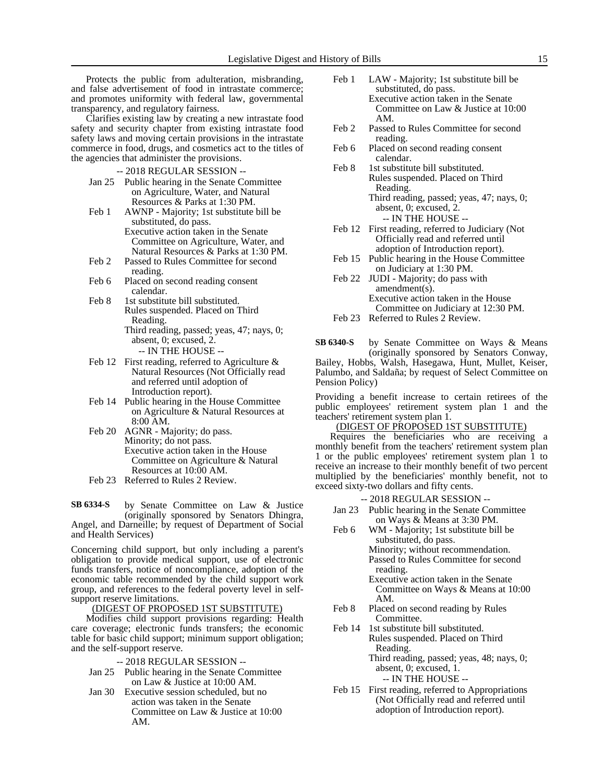Protects the public from adulteration, misbranding, and false advertisement of food in intrastate commerce; and promotes uniformity with federal law, governmental transparency, and regulatory fairness.

Clarifies existing law by creating a new intrastate food safety and security chapter from existing intrastate food safety laws and moving certain provisions in the intrastate commerce in food, drugs, and cosmetics act to the titles of the agencies that administer the provisions.

-- 2018 REGULAR SESSION --

- Jan 25 Public hearing in the Senate Committee on Agriculture, Water, and Natural Resources & Parks at 1:30 PM.
- Feb 1 AWNP Majority; 1st substitute bill be substituted, do pass. Executive action taken in the Senate Committee on Agriculture, Water, and Natural Resources & Parks at 1:30 PM.
- Feb 2 Passed to Rules Committee for second reading.
- Feb 6 Placed on second reading consent calendar.
- Feb 8 1st substitute bill substituted. Rules suspended. Placed on Third Reading. Third reading, passed; yeas, 47; nays, 0; absent, 0; excused, 2.
	- -- IN THE HOUSE --
- Feb 12 First reading, referred to Agriculture  $\&$ Natural Resources (Not Officially read and referred until adoption of Introduction report).
- Feb 14 Public hearing in the House Committee on Agriculture & Natural Resources at 8:00 AM.
- Feb 20 AGNR Majority; do pass. Minority; do not pass. Executive action taken in the House Committee on Agriculture & Natural Resources at 10:00 AM.
- Feb 23 Referred to Rules 2 Review.

by Senate Committee on Law & Justice (originally sponsored by Senators Dhingra, Angel, and Darneille; by request of Department of Social and Health Services) **SB 6334-S**

Concerning child support, but only including a parent's obligation to provide medical support, use of electronic funds transfers, notice of noncompliance, adoption of the economic table recommended by the child support work group, and references to the federal poverty level in selfsupport reserve limitations.

# (DIGEST OF PROPOSED 1ST SUBSTITUTE)

Modifies child support provisions regarding: Health care coverage; electronic funds transfers; the economic table for basic child support; minimum support obligation; and the self-support reserve.

- -- 2018 REGULAR SESSION --
- Jan 25 Public hearing in the Senate Committee on Law & Justice at 10:00 AM.
- Jan 30 Executive session scheduled, but no action was taken in the Senate Committee on Law & Justice at 10:00 AM.
- Feb 1 LAW Majority; 1st substitute bill be substituted, do pass. Executive action taken in the Senate Committee on Law & Justice at 10:00
- Feb 2 Passed to Rules Committee for second reading.
- Feb 6 Placed on second reading consent calendar.

AM.

- Feb 8 1st substitute bill substituted. Rules suspended. Placed on Third Reading. Third reading, passed; yeas, 47; nays, 0;
	- absent, 0; excused, 2. -- IN THE HOUSE --
- Feb 12 First reading, referred to Judiciary (Not Officially read and referred until adoption of Introduction report).
- Feb 15 Public hearing in the House Committee on Judiciary at 1:30 PM.
- Feb 22 JUDI Majority; do pass with amendment(s). Executive action taken in the House Committee on Judiciary at 12:30 PM. Feb 23 Referred to Rules 2 Review.
- by Senate Committee on Ways & Means (originally sponsored by Senators Conway, Bailey, Hobbs, Walsh, Hasegawa, Hunt, Mullet, Keiser, Palumbo, and Saldaña; by request of Select Committee on Pension Policy) **SB 6340-S**

Providing a benefit increase to certain retirees of the public employees' retirement system plan 1 and the teachers' retirement system plan 1.

# (DIGEST OF PROPOSED 1ST SUBSTITUTE)

Requires the beneficiaries who are receiving a monthly benefit from the teachers' retirement system plan 1 or the public employees' retirement system plan 1 to receive an increase to their monthly benefit of two percent multiplied by the beneficiaries' monthly benefit, not to exceed sixty-two dollars and fifty cents.

- -- 2018 REGULAR SESSION --
- Jan 23 Public hearing in the Senate Committee on Ways & Means at 3:30 PM.
- Feb 6 WM Majority; 1st substitute bill be substituted, do pass. Minority; without recommendation. Passed to Rules Committee for second reading.
	- Executive action taken in the Senate Committee on Ways & Means at 10:00 AM.
- Feb 8 Placed on second reading by Rules Committee.
- Feb 14 1st substitute bill substituted. Rules suspended. Placed on Third Reading. Third reading, passed; yeas, 48; nays, 0;

absent, 0; excused, 1. -- IN THE HOUSE --

Feb 15 First reading, referred to Appropriations (Not Officially read and referred until adoption of Introduction report).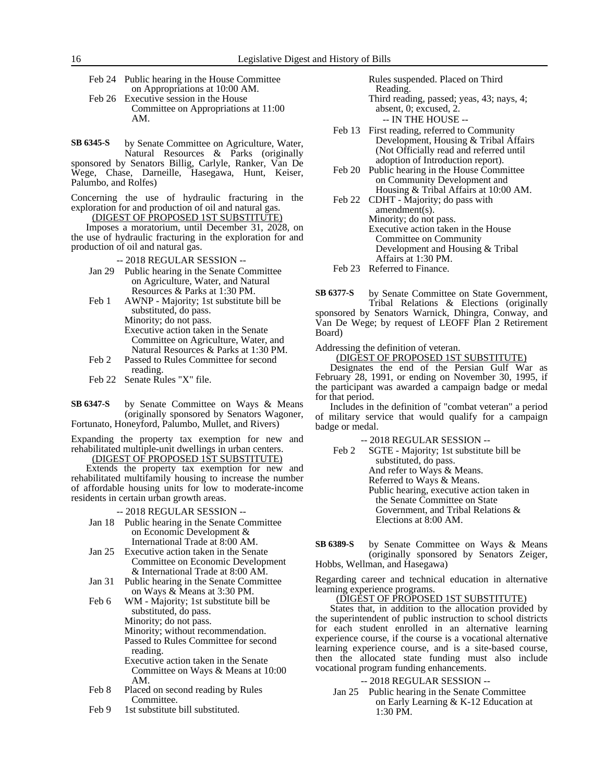| Feb 24 Public hearing in the House Committee |
|----------------------------------------------|
| on Appropriations at 10:00 AM.               |
| Feb 26 Executive session in the House        |
| Committee on Appropriations at 11:00         |
| AM.                                          |

by Senate Committee on Agriculture, Water, Natural Resources & Parks (originally sponsored by Senators Billig, Carlyle, Ranker, Van De Wege, Chase, Darneille, Hasegawa, Hunt, Keiser, Palumbo, and Rolfes) **SB 6345-S**

Concerning the use of hydraulic fracturing in the exploration for and production of oil and natural gas. (DIGEST OF PROPOSED 1ST SUBSTITUTE)

Imposes a moratorium, until December 31, 2028, on the use of hydraulic fracturing in the exploration for and production of oil and natural gas.

-- 2018 REGULAR SESSION --

- Jan 29 Public hearing in the Senate Committee on Agriculture, Water, and Natural Resources & Parks at 1:30 PM.
- Feb 1 AWNP Majority; 1st substitute bill be substituted, do pass. Minority; do not pass. Executive action taken in the Senate Committee on Agriculture, Water, and Natural Resources & Parks at 1:30 PM.
- Feb 2 Passed to Rules Committee for second reading.
- Feb 22 Senate Rules "X" file.

by Senate Committee on Ways & Means (originally sponsored by Senators Wagoner, Fortunato, Honeyford, Palumbo, Mullet, and Rivers) **SB 6347-S**

Expanding the property tax exemption for new and rehabilitated multiple-unit dwellings in urban centers. (DIGEST OF PROPOSED 1ST SUBSTITUTE)

Extends the property tax exemption for new and rehabilitated multifamily housing to increase the number of affordable housing units for low to moderate-income residents in certain urban growth areas.

-- 2018 REGULAR SESSION --

- Jan 18 Public hearing in the Senate Committee on Economic Development & International Trade at 8:00 AM.
- Jan 25 Executive action taken in the Senate Committee on Economic Development & International Trade at 8:00 AM.
- Jan 31 Public hearing in the Senate Committee on Ways & Means at 3:30 PM.

Feb 6 WM - Majority; 1st substitute bill be substituted, do pass. Minority; do not pass. Minority; without recommendation. Passed to Rules Committee for second reading. Executive action taken in the Senate Committee on Ways & Means at 10:00

- AM. Feb 8 Placed on second reading by Rules Committee.
- Feb 9 1st substitute bill substituted.

Rules suspended. Placed on Third Reading.

Third reading, passed; yeas, 43; nays, 4; absent, 0; excused, 2. -- IN THE HOUSE --

- Feb 13 First reading, referred to Community Development, Housing & Tribal Affairs (Not Officially read and referred until adoption of Introduction report).
- Feb 20 Public hearing in the House Committee on Community Development and Housing & Tribal Affairs at 10:00 AM.

Feb 22 CDHT - Majority; do pass with amendment(s). Minority; do not pass. Executive action taken in the House Committee on Community Development and Housing & Tribal Affairs at 1:30 PM.

Feb 23 Referred to Finance.

by Senate Committee on State Government, Tribal Relations & Elections (originally sponsored by Senators Warnick, Dhingra, Conway, and Van De Wege; by request of LEOFF Plan 2 Retirement Board) **SB 6377-S**

Addressing the definition of veteran.

(DIGEST OF PROPOSED 1ST SUBSTITUTE)

Designates the end of the Persian Gulf War as February 28, 1991, or ending on November 30, 1995, if the participant was awarded a campaign badge or medal for that period.

Includes in the definition of "combat veteran" a period of military service that would qualify for a campaign badge or medal.

-- 2018 REGULAR SESSION --

Feb 2 SGTE - Majority; 1st substitute bill be substituted, do pass. And refer to Ways & Means. Referred to Ways & Means. Public hearing, executive action taken in the Senate Committee on State Government, and Tribal Relations & Elections at 8:00 AM.

by Senate Committee on Ways & Means (originally sponsored by Senators Zeiger, Hobbs, Wellman, and Hasegawa) **SB 6389-S**

Regarding career and technical education in alternative learning experience programs.

<u>(DIGEST OF PROPOSED 1ST SUBSTIT</u>UTE)

States that, in addition to the allocation provided by the superintendent of public instruction to school districts for each student enrolled in an alternative learning experience course, if the course is a vocational alternative learning experience course, and is a site-based course, then the allocated state funding must also include vocational program funding enhancements.

-- 2018 REGULAR SESSION --

Jan 25 Public hearing in the Senate Committee on Early Learning & K-12 Education at 1:30 PM.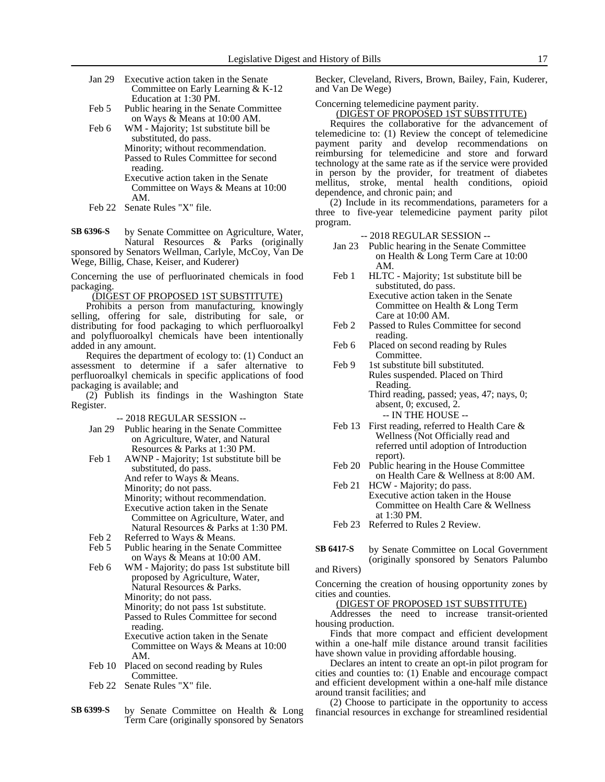- Jan 29 Executive action taken in the Senate Committee on Early Learning & K-12 Education at 1:30 PM.
- Feb 5 Public hearing in the Senate Committee on Ways & Means at 10:00 AM.
- Feb 6 WM Majority; 1st substitute bill be substituted, do pass. Minority; without recommendation. Passed to Rules Committee for second reading.

Executive action taken in the Senate Committee on Ways & Means at 10:00 AM.

- Feb 22 Senate Rules "X" file.
- by Senate Committee on Agriculture, Water, Natural Resources & Parks (originally **SB 6396-S**

sponsored by Senators Wellman, Carlyle, McCoy, Van De Wege, Billig, Chase, Keiser, and Kuderer)

Concerning the use of perfluorinated chemicals in food packaging.

#### (DIGEST OF PROPOSED 1ST SUBSTITUTE)

Prohibits a person from manufacturing, knowingly selling, offering for sale, distributing for sale, or distributing for food packaging to which perfluoroalkyl and polyfluoroalkyl chemicals have been intentionally added in any amount.

Requires the department of ecology to: (1) Conduct an assessment to determine if a safer alternative to perfluoroalkyl chemicals in specific applications of food packaging is available; and

(2) Publish its findings in the Washington State Register.

-- 2018 REGULAR SESSION --

- Jan 29 Public hearing in the Senate Committee on Agriculture, Water, and Natural Resources & Parks at 1:30 PM.
- Feb 1 AWNP Majority; 1st substitute bill be substituted, do pass. And refer to Ways & Means. Minority; do not pass. Minority; without recommendation. Executive action taken in the Senate Committee on Agriculture, Water, and Natural Resources & Parks at 1:30 PM.
- Feb 2 Referred to Ways & Means.<br>Feb 5 Public hearing in the Senate
- Public hearing in the Senate Committee on Ways & Means at 10:00 AM.
- Feb 6 WM Majority; do pass 1st substitute bill proposed by Agriculture, Water, Natural Resources & Parks. Minority; do not pass.
	- Minority; do not pass 1st substitute.

Passed to Rules Committee for second reading.

Executive action taken in the Senate Committee on Ways & Means at 10:00 AM.

- Feb 10 Placed on second reading by Rules Committee.
- Feb 22 Senate Rules "X" file.
- by Senate Committee on Health & Long Term Care (originally sponsored by Senators **SB 6399-S**

Becker, Cleveland, Rivers, Brown, Bailey, Fain, Kuderer, and Van De Wege)

Concerning telemedicine payment parity.

(DIGEST OF PROPOSED 1ST SUBSTITUTE)

Requires the collaborative for the advancement of telemedicine to: (1) Review the concept of telemedicine payment parity and develop recommendations on reimbursing for telemedicine and store and forward technology at the same rate as if the service were provided in person by the provider, for treatment of diabetes mellitus, stroke, mental health conditions, opioid dependence, and chronic pain; and

(2) Include in its recommendations, parameters for a three to five-year telemedicine payment parity pilot program.

-- 2018 REGULAR SESSION --

- Jan 23 Public hearing in the Senate Committee on Health & Long Term Care at 10:00 AM.
- Feb 1 HLTC Majority; 1st substitute bill be substituted, do pass. Executive action taken in the Senate Committee on Health & Long Term Care at 10:00 AM.
- Feb 2 Passed to Rules Committee for second reading.
- Feb 6 Placed on second reading by Rules Committee.
- Feb 9 1st substitute bill substituted. Rules suspended. Placed on Third Reading. Third reading, passed; yeas, 47; nays, 0;

absent, 0; excused, 2. -- IN THE HOUSE --

- Feb 13 First reading, referred to Health Care & Wellness (Not Officially read and referred until adoption of Introduction report).
- Feb 20 Public hearing in the House Committee on Health Care & Wellness at 8:00 AM.
- Feb 21 HCW Majority; do pass. Executive action taken in the House Committee on Health Care & Wellness at 1:30 PM.
- Feb 23 Referred to Rules 2 Review.

by Senate Committee on Local Government (originally sponsored by Senators Palumbo **SB 6417-S**

and Rivers)

Concerning the creation of housing opportunity zones by cities and counties.

(DIGEST OF PROPOSED 1ST SUBSTITUTE)

Addresses the need to increase transit-oriented housing production.

Finds that more compact and efficient development within a one-half mile distance around transit facilities have shown value in providing affordable housing.

Declares an intent to create an opt-in pilot program for cities and counties to: (1) Enable and encourage compact and efficient development within a one-half mile distance around transit facilities; and

(2) Choose to participate in the opportunity to access financial resources in exchange for streamlined residential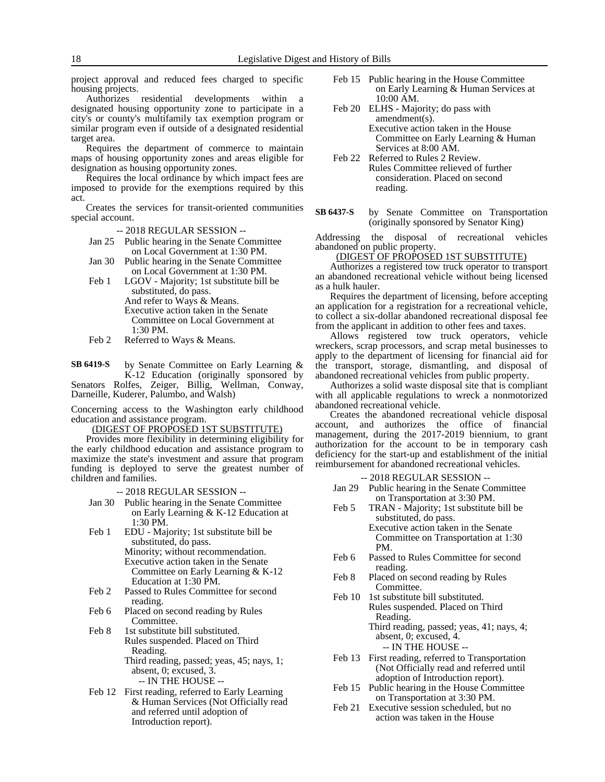project approval and reduced fees charged to specific housing projects.

Authorizes residential developments within a designated housing opportunity zone to participate in a city's or county's multifamily tax exemption program or similar program even if outside of a designated residential target area.

Requires the department of commerce to maintain maps of housing opportunity zones and areas eligible for designation as housing opportunity zones.

Requires the local ordinance by which impact fees are imposed to provide for the exemptions required by this act.

Creates the services for transit-oriented communities special account.

-- 2018 REGULAR SESSION --

- Jan 25 Public hearing in the Senate Committee on Local Government at 1:30 PM.
- Jan 30 Public hearing in the Senate Committee on Local Government at 1:30 PM.
- Feb 1 LGOV Majority; 1st substitute bill be substituted, do pass. And refer to Ways & Means.

Executive action taken in the Senate Committee on Local Government at 1:30 PM.

Feb 2 Referred to Ways & Means.

by Senate Committee on Early Learning & K-12 Education (originally sponsored by Senators Rolfes, Zeiger, Billig, Wellman, Conway, **SB 6419-S**

Darneille, Kuderer, Palumbo, and Walsh)

Concerning access to the Washington early childhood education and assistance program.

(DIGEST OF PROPOSED 1ST SUBSTITUTE)

Provides more flexibility in determining eligibility for the early childhood education and assistance program to maximize the state's investment and assure that program funding is deployed to serve the greatest number of children and families.

-- 2018 REGULAR SESSION --

- Jan 30 Public hearing in the Senate Committee on Early Learning & K-12 Education at 1:30 PM.
- Feb 1 EDU Majority; 1st substitute bill be substituted, do pass. Minority; without recommendation. Executive action taken in the Senate

Committee on Early Learning & K-12 Education at 1:30 PM.

- Feb 2 Passed to Rules Committee for second reading.
- Feb 6 Placed on second reading by Rules Committee.
- Feb 8 1st substitute bill substituted. Rules suspended. Placed on Third Reading. Third reading, passed; yeas, 45; nays, 1;
	- absent, 0; excused, 3. -- IN THE HOUSE --
- Feb 12 First reading, referred to Early Learning & Human Services (Not Officially read and referred until adoption of Introduction report).
- Feb 15 Public hearing in the House Committee on Early Learning & Human Services at 10:00 AM.
- Feb 20 ELHS Majority; do pass with amendment(s). Executive action taken in the House Committee on Early Learning & Human Services at 8:00 AM.
- Feb 22 Referred to Rules 2 Review. Rules Committee relieved of further consideration. Placed on second reading.
- by Senate Committee on Transportation (originally sponsored by Senator King) **SB 6437-S**

Addressing the disposal of recreational vehicles abandoned on public property.

# (DIGEST OF PROPOSED 1ST SUBSTITUTE)

Authorizes a registered tow truck operator to transport an abandoned recreational vehicle without being licensed as a hulk hauler.

Requires the department of licensing, before accepting an application for a registration for a recreational vehicle, to collect a six-dollar abandoned recreational disposal fee from the applicant in addition to other fees and taxes.

Allows registered tow truck operators, vehicle wreckers, scrap processors, and scrap metal businesses to apply to the department of licensing for financial aid for the transport, storage, dismantling, and disposal of abandoned recreational vehicles from public property.

Authorizes a solid waste disposal site that is compliant with all applicable regulations to wreck a nonmotorized abandoned recreational vehicle.

Creates the abandoned recreational vehicle disposal account, and authorizes the office of financial management, during the 2017-2019 biennium, to grant authorization for the account to be in temporary cash deficiency for the start-up and establishment of the initial reimbursement for abandoned recreational vehicles.

-- 2018 REGULAR SESSION --

- Jan 29 Public hearing in the Senate Committee on Transportation at 3:30 PM.
- Feb 5 TRAN Majority; 1st substitute bill be substituted, do pass.

Executive action taken in the Senate Committee on Transportation at 1:30 PM.

- Feb 6 Passed to Rules Committee for second reading.
- Feb 8 Placed on second reading by Rules Committee.
- Feb 10 1st substitute bill substituted. Rules suspended. Placed on Third Reading. Third reading, passed; yeas, 41; nays, 4; absent, 0; excused, 4.
	- -- IN THE HOUSE --
- Feb 13 First reading, referred to Transportation (Not Officially read and referred until adoption of Introduction report).
- Feb 15 Public hearing in the House Committee on Transportation at 3:30 PM.
- Feb 21 Executive session scheduled, but no action was taken in the House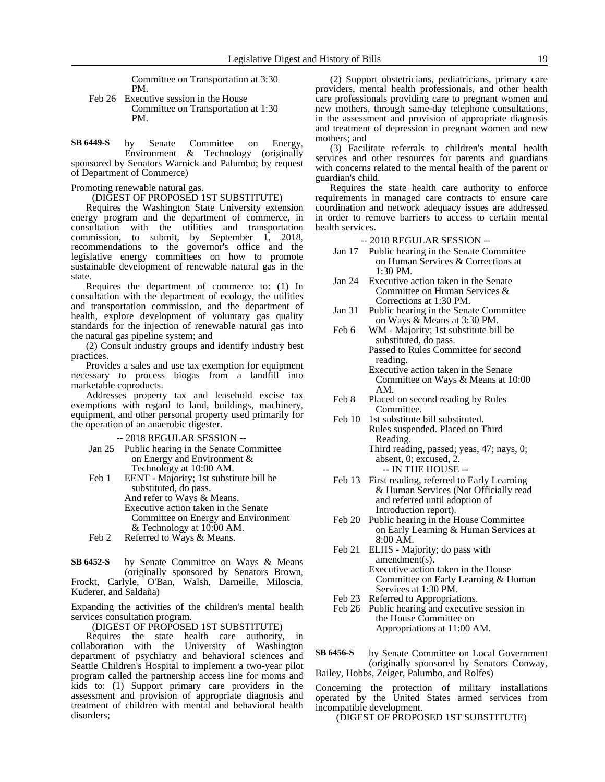Committee on Transportation at 3:30 PM.

Feb 26 Executive session in the House Committee on Transportation at 1:30 PM.

by Senate Committee on Energy, Environment & Technology (originally sponsored by Senators Warnick and Palumbo; by request of Department of Commerce) **SB 6449-S**

Promoting renewable natural gas.

(DIGEST OF PROPOSED 1ST SUBSTITUTE)

Requires the Washington State University extension energy program and the department of commerce, in consultation with the utilities and transportation commission, to submit, by September 1, 2018, recommendations to the governor's office and the legislative energy committees on how to promote sustainable development of renewable natural gas in the state.

Requires the department of commerce to: (1) In consultation with the department of ecology, the utilities and transportation commission, and the department of health, explore development of voluntary gas quality standards for the injection of renewable natural gas into the natural gas pipeline system; and

(2) Consult industry groups and identify industry best practices.

Provides a sales and use tax exemption for equipment necessary to process biogas from a landfill into marketable coproducts.

Addresses property tax and leasehold excise tax exemptions with regard to land, buildings, machinery, equipment, and other personal property used primarily for the operation of an anaerobic digester.

- -- 2018 REGULAR SESSION --
- Jan 25 Public hearing in the Senate Committee on Energy and Environment & Technology at 10:00 AM.
- Feb 1 EENT Majority; 1st substitute bill be substituted, do pass. And refer to Ways & Means. Executive action taken in the Senate Committee on Energy and Environment & Technology at 10:00 AM.
- Feb 2 Referred to Ways & Means.

by Senate Committee on Ways & Means (originally sponsored by Senators Brown, Frockt, Carlyle, O'Ban, Walsh, Darneille, Miloscia, Kuderer, and Saldaña) **SB 6452-S**

Expanding the activities of the children's mental health services consultation program.

(DIGEST OF PROPOSED 1ST SUBSTITUTE)

Requires the state health care authority, in collaboration with the University of Washington department of psychiatry and behavioral sciences and Seattle Children's Hospital to implement a two-year pilot program called the partnership access line for moms and kids to: (1) Support primary care providers in the assessment and provision of appropriate diagnosis and treatment of children with mental and behavioral health disorders;

(2) Support obstetricians, pediatricians, primary care providers, mental health professionals, and other health care professionals providing care to pregnant women and new mothers, through same-day telephone consultations, in the assessment and provision of appropriate diagnosis and treatment of depression in pregnant women and new mothers; and

(3) Facilitate referrals to children's mental health services and other resources for parents and guardians with concerns related to the mental health of the parent or guardian's child.

Requires the state health care authority to enforce requirements in managed care contracts to ensure care coordination and network adequacy issues are addressed in order to remove barriers to access to certain mental health services.

-- 2018 REGULAR SESSION --

- Jan 17 Public hearing in the Senate Committee on Human Services & Corrections at  $1:30$  PM.
- Jan 24 Executive action taken in the Senate Committee on Human Services & Corrections at 1:30 PM.
- Jan 31 Public hearing in the Senate Committee on Ways & Means at 3:30 PM.

Feb 6 WM - Majority; 1st substitute bill be substituted, do pass. Passed to Rules Committee for second reading.

- Executive action taken in the Senate Committee on Ways & Means at 10:00 AM.
- Feb 8 Placed on second reading by Rules Committee.
- Feb 10 1st substitute bill substituted. Rules suspended. Placed on Third Reading. Third reading, passed; yeas, 47; nays, 0; absent, 0; excused, 2.

-- IN THE HOUSE --

- Feb 13 First reading, referred to Early Learning & Human Services (Not Officially read and referred until adoption of Introduction report).
- Feb 20 Public hearing in the House Committee on Early Learning & Human Services at 8:00 AM.
- Feb 21 ELHS Majority; do pass with amendment(s). Executive action taken in the House Committee on Early Learning & Human Services at 1:30 PM.
- Feb 23 Referred to Appropriations.
- Feb 26 Public hearing and executive session in the House Committee on Appropriations at 11:00 AM.

by Senate Committee on Local Government (originally sponsored by Senators Conway, Bailey, Hobbs, Zeiger, Palumbo, and Rolfes) **SB 6456-S**

Concerning the protection of military installations operated by the United States armed services from incompatible development.

(DIGEST OF PROPOSED 1ST SUBSTITUTE)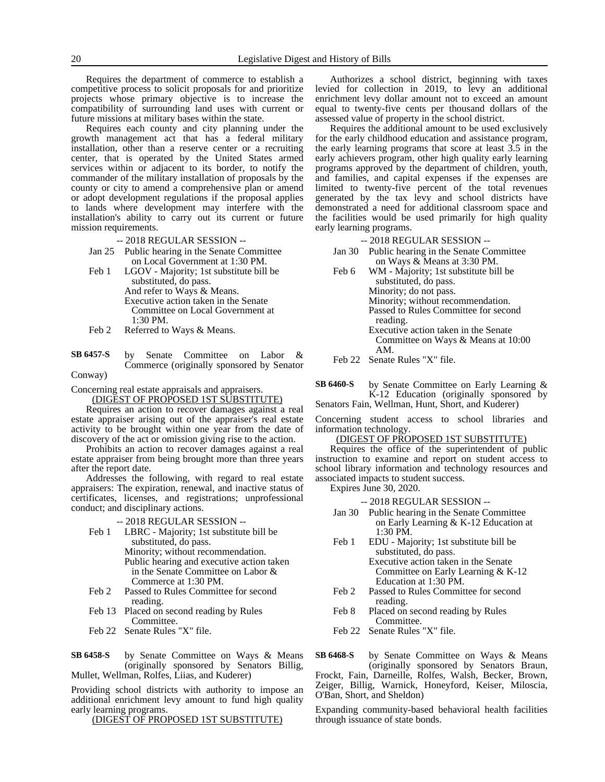Requires the department of commerce to establish a competitive process to solicit proposals for and prioritize projects whose primary objective is to increase the compatibility of surrounding land uses with current or future missions at military bases within the state.

Requires each county and city planning under the growth management act that has a federal military installation, other than a reserve center or a recruiting center, that is operated by the United States armed services within or adjacent to its border, to notify the commander of the military installation of proposals by the county or city to amend a comprehensive plan or amend or adopt development regulations if the proposal applies to lands where development may interfere with the installation's ability to carry out its current or future mission requirements.

-- 2018 REGULAR SESSION --

- Jan 25 Public hearing in the Senate Committee on Local Government at 1:30 PM.
- Feb 1 LGOV Majority; 1st substitute bill be substituted, do pass. And refer to Ways & Means. Executive action taken in the Senate Committee on Local Government at 1:30 PM.
- Feb 2 Referred to Ways & Means.
- by Senate Committee on Labor & Commerce (originally sponsored by Senator **SB 6457-S**
- Conway)

Concerning real estate appraisals and appraisers.

(DIGEST OF PROPOSED 1ST SUBSTITUTE)

Requires an action to recover damages against a real estate appraiser arising out of the appraiser's real estate activity to be brought within one year from the date of discovery of the act or omission giving rise to the action.

Prohibits an action to recover damages against a real estate appraiser from being brought more than three years after the report date.

Addresses the following, with regard to real estate appraisers: The expiration, renewal, and inactive status of certificates, licenses, and registrations; unprofessional conduct; and disciplinary actions.

-- 2018 REGULAR SESSION --

- Feb 1 LBRC Majority; 1st substitute bill be substituted, do pass. Minority; without recommendation. Public hearing and executive action taken in the Senate Committee on Labor & Commerce at 1:30 PM.
- Feb 2 Passed to Rules Committee for second reading.
- Feb 13 Placed on second reading by Rules Committee.
- Feb 22 Senate Rules "X" file.

by Senate Committee on Ways & Means (originally sponsored by Senators Billig, Mullet, Wellman, Rolfes, Liias, and Kuderer) **SB 6458-S**

Providing school districts with authority to impose an additional enrichment levy amount to fund high quality early learning programs.

(DIGEST OF PROPOSED 1ST SUBSTITUTE)

Authorizes a school district, beginning with taxes levied for collection in 2019, to levy an additional enrichment levy dollar amount not to exceed an amount equal to twenty-five cents per thousand dollars of the assessed value of property in the school district.

Requires the additional amount to be used exclusively for the early childhood education and assistance program, the early learning programs that score at least 3.5 in the early achievers program, other high quality early learning programs approved by the department of children, youth, and families, and capital expenses if the expenses are limited to twenty-five percent of the total revenues generated by the tax levy and school districts have demonstrated a need for additional classroom space and the facilities would be used primarily for high quality early learning programs.

-- 2018 REGULAR SESSION --

- Jan 30 Public hearing in the Senate Committee on Ways & Means at 3:30 PM.
- Feb 6 WM Majority; 1st substitute bill be substituted, do pass. Minority; do not pass. Minority; without recommendation. Passed to Rules Committee for second reading. Executive action taken in the Senate Committee on Ways & Means at 10:00 AM.
- Feb 22 Senate Rules "X" file.

by Senate Committee on Early Learning & K-12 Education (originally sponsored by Senators Fain, Wellman, Hunt, Short, and Kuderer) **SB 6460-S**

Concerning student access to school libraries and information technology.

# (DIGEST OF PROPOSED 1ST SUBSTITUTE)

Requires the office of the superintendent of public instruction to examine and report on student access to school library information and technology resources and associated impacts to student success.

Expires June 30, 2020.

- -- 2018 REGULAR SESSION --
- Jan 30 Public hearing in the Senate Committee on Early Learning & K-12 Education at 1:30 PM.
- Feb 1 EDU Majority; 1st substitute bill be substituted, do pass. Executive action taken in the Senate Committee on Early Learning & K-12 Education at 1:30 PM.
- Feb 2 Passed to Rules Committee for second reading.
- Feb 8 Placed on second reading by Rules Committee.
- Feb 22 Senate Rules "X" file.

by Senate Committee on Ways & Means (originally sponsored by Senators Braun, **SB 6468-S**

Frockt, Fain, Darneille, Rolfes, Walsh, Becker, Brown, Zeiger, Billig, Warnick, Honeyford, Keiser, Miloscia, O'Ban, Short, and Sheldon)

Expanding community-based behavioral health facilities through issuance of state bonds.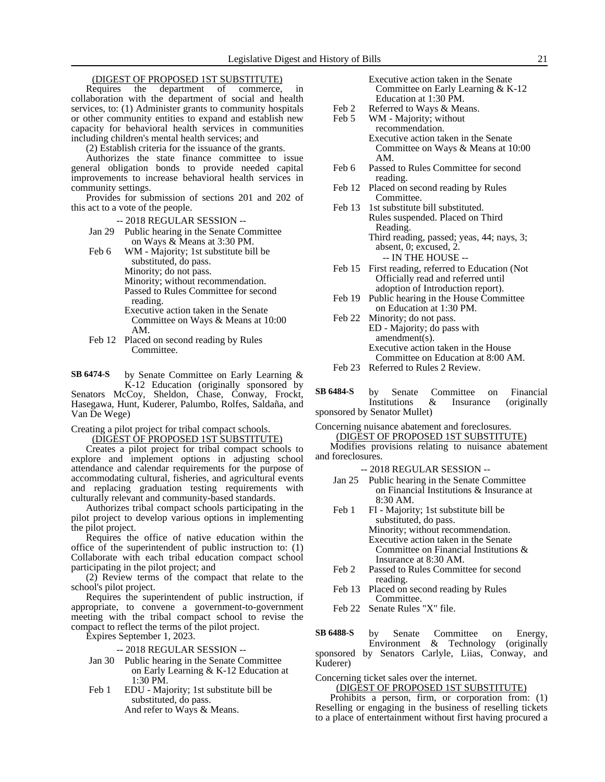# (DIGEST OF PROPOSED 1ST SUBSTITUTE)

Requires the department of commerce, in collaboration with the department of social and health services, to: (1) Administer grants to community hospitals or other community entities to expand and establish new capacity for behavioral health services in communities including children's mental health services; and

(2) Establish criteria for the issuance of the grants.

Authorizes the state finance committee to issue general obligation bonds to provide needed capital improvements to increase behavioral health services in community settings.

Provides for submission of sections 201 and 202 of this act to a vote of the people.

-- 2018 REGULAR SESSION --

- Jan 29 Public hearing in the Senate Committee on Ways & Means at 3:30 PM.
- Feb 6 WM Majority; 1st substitute bill be substituted, do pass.

Minority; do not pass.

Minority; without recommendation. Passed to Rules Committee for second

- reading. Executive action taken in the Senate Committee on Ways & Means at 10:00
	- AM.
- Feb 12 Placed on second reading by Rules Committee.
- by Senate Committee on Early Learning & K-12 Education (originally sponsored by Senators McCoy, Sheldon, Chase, Conway, Frockt, **SB 6474-S**

Hasegawa, Hunt, Kuderer, Palumbo, Rolfes, Saldaña, and Van De Wege)

Creating a pilot project for tribal compact schools. (DIGEST OF PROPOSED 1ST SUBSTITUTE)

Creates a pilot project for tribal compact schools to explore and implement options in adjusting school attendance and calendar requirements for the purpose of accommodating cultural, fisheries, and agricultural events and replacing graduation testing requirements with culturally relevant and community-based standards.

Authorizes tribal compact schools participating in the pilot project to develop various options in implementing the pilot project.

Requires the office of native education within the office of the superintendent of public instruction to: (1) Collaborate with each tribal education compact school participating in the pilot project; and

(2) Review terms of the compact that relate to the school's pilot project.

Requires the superintendent of public instruction, if appropriate, to convene a government-to-government meeting with the tribal compact school to revise the compact to reflect the terms of the pilot project.

Expires September 1, 2023.

-- 2018 REGULAR SESSION --

- Jan 30 Public hearing in the Senate Committee on Early Learning & K-12 Education at 1:30 PM.
- Feb 1 EDU Majority; 1st substitute bill be substituted, do pass. And refer to Ways & Means.

Executive action taken in the Senate Committee on Early Learning & K-12 Education at 1:30 PM.

- Feb 2 Referred to Ways & Means.
- Feb 5 WM Majority; without
	- recommendation. Executive action taken in the Senate Committee on Ways & Means at 10:00 AM.
- Feb 6 Passed to Rules Committee for second reading.
- Feb 12 Placed on second reading by Rules Committee.
- Feb 13 1st substitute bill substituted. Rules suspended. Placed on Third Reading. Third reading, passed; yeas, 44; nays, 3; absent, 0; excused, 2.
	- -- IN THE HOUSE --
- Feb 15 First reading, referred to Education (Not Officially read and referred until adoption of Introduction report).
- Feb 19 Public hearing in the House Committee on Education at 1:30 PM.
- Feb 22 Minority; do not pass. ED - Majority; do pass with amendment(s). Executive action taken in the House Committee on Education at 8:00 AM.
- Feb 23 Referred to Rules 2 Review.

| SB 6484-S                    |  |  | by Senate Committee on Financial     |
|------------------------------|--|--|--------------------------------------|
|                              |  |  | Institutions & Insurance (originally |
| sponsored by Senator Mullet) |  |  |                                      |

Concerning nuisance abatement and foreclosures. (DIGEST OF PROPOSED 1ST SUBSTITUTE)

Modifies provisions relating to nuisance abatement and foreclosures.

- -- 2018 REGULAR SESSION --
- Jan 25 Public hearing in the Senate Committee on Financial Institutions & Insurance at 8:30 AM.
- Feb 1 FI Majority; 1st substitute bill be substituted, do pass. Minority; without recommendation. Executive action taken in the Senate Committee on Financial Institutions & Insurance at 8:30 AM.
- Feb 2 Passed to Rules Committee for second reading.
- Feb 13 Placed on second reading by Rules Committee.
- Feb 22 Senate Rules "X" file.

by Senate Committee on Energy, Environment & Technology (originally sponsored by Senators Carlyle, Liias, Conway, and Kuderer) **SB 6488-S**

Concerning ticket sales over the internet.

(DIGEST OF PROPOSED 1ST SUBSTITUTE)

Prohibits a person, firm, or corporation from: (1) Reselling or engaging in the business of reselling tickets to a place of entertainment without first having procured a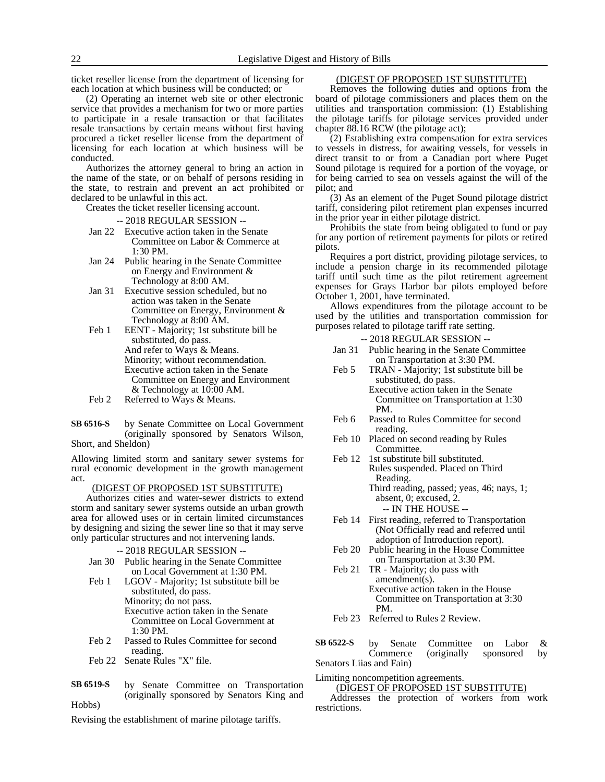ticket reseller license from the department of licensing for each location at which business will be conducted; or

(2) Operating an internet web site or other electronic service that provides a mechanism for two or more parties to participate in a resale transaction or that facilitates resale transactions by certain means without first having procured a ticket reseller license from the department of licensing for each location at which business will be conducted.

Authorizes the attorney general to bring an action in the name of the state, or on behalf of persons residing in the state, to restrain and prevent an act prohibited or declared to be unlawful in this act.

Creates the ticket reseller licensing account.

#### -- 2018 REGULAR SESSION --

- Jan 22 Executive action taken in the Senate Committee on Labor & Commerce at 1:30 PM.
- Jan 24 Public hearing in the Senate Committee on Energy and Environment & Technology at 8:00 AM.
- Jan 31 Executive session scheduled, but no action was taken in the Senate Committee on Energy, Environment & Technology at 8:00 AM.
- Feb 1 EENT Majority; 1st substitute bill be substituted, do pass. And refer to Ways & Means. Minority; without recommendation. Executive action taken in the Senate Committee on Energy and Environment & Technology at 10:00 AM.
- Feb 2 Referred to Ways & Means.
- by Senate Committee on Local Government (originally sponsored by Senators Wilson, Short, and Sheldon) **SB 6516-S**

Allowing limited storm and sanitary sewer systems for rural economic development in the growth management act.

# (DIGEST OF PROPOSED 1ST SUBSTITUTE)

Authorizes cities and water-sewer districts to extend storm and sanitary sewer systems outside an urban growth area for allowed uses or in certain limited circumstances by designing and sizing the sewer line so that it may serve only particular structures and not intervening lands.

- -- 2018 REGULAR SESSION --
- Jan 30 Public hearing in the Senate Committee on Local Government at 1:30 PM.
- Feb 1 LGOV Majority; 1st substitute bill be substituted, do pass. Minority; do not pass. Executive action taken in the Senate Committee on Local Government at 1:30 PM.
- Feb 2 Passed to Rules Committee for second reading.
- Feb 22 Senate Rules "X" file.
- by Senate Committee on Transportation (originally sponsored by Senators King and Hobbs) **SB 6519-S**

Revising the establishment of marine pilotage tariffs.

# (DIGEST OF PROPOSED 1ST SUBSTITUTE)

Removes the following duties and options from the board of pilotage commissioners and places them on the utilities and transportation commission: (1) Establishing the pilotage tariffs for pilotage services provided under chapter 88.16 RCW (the pilotage act);

(2) Establishing extra compensation for extra services to vessels in distress, for awaiting vessels, for vessels in direct transit to or from a Canadian port where Puget Sound pilotage is required for a portion of the voyage, or for being carried to sea on vessels against the will of the pilot; and

(3) As an element of the Puget Sound pilotage district tariff, considering pilot retirement plan expenses incurred in the prior year in either pilotage district.

Prohibits the state from being obligated to fund or pay for any portion of retirement payments for pilots or retired pilots.

Requires a port district, providing pilotage services, to include a pension charge in its recommended pilotage tariff until such time as the pilot retirement agreement expenses for Grays Harbor bar pilots employed before October 1, 2001, have terminated.

Allows expenditures from the pilotage account to be used by the utilities and transportation commission for purposes related to pilotage tariff rate setting.

-- 2018 REGULAR SESSION --

- Jan 31 Public hearing in the Senate Committee on Transportation at 3:30 PM.
- Feb 5 TRAN Majority; 1st substitute bill be substituted, do pass. Executive action taken in the Senate
	- Committee on Transportation at 1:30 PM.
- Feb 6 Passed to Rules Committee for second reading.
- Feb 10 Placed on second reading by Rules Committee.
- Feb 12 1st substitute bill substituted. Rules suspended. Placed on Third Reading. Third reading, passed; yeas, 46; nays, 1; absent, 0; excused, 2.

-- IN THE HOUSE --

- Feb 14 First reading, referred to Transportation (Not Officially read and referred until adoption of Introduction report).
- Feb 20 Public hearing in the House Committee on Transportation at 3:30 PM.
- Feb 21 TR Majority; do pass with amendment(s). Executive action taken in the House Committee on Transportation at 3:30 PM.
- Feb 23 Referred to Rules 2 Review.

by Senate Committee on Labor & Commerce (originally sponsored by Senators Liias and Fain) **SB 6522-S**

# Limiting noncompetition agreements.

(DIGEST OF PROPOSED 1ST SUBSTITUTE)

Addresses the protection of workers from work restrictions.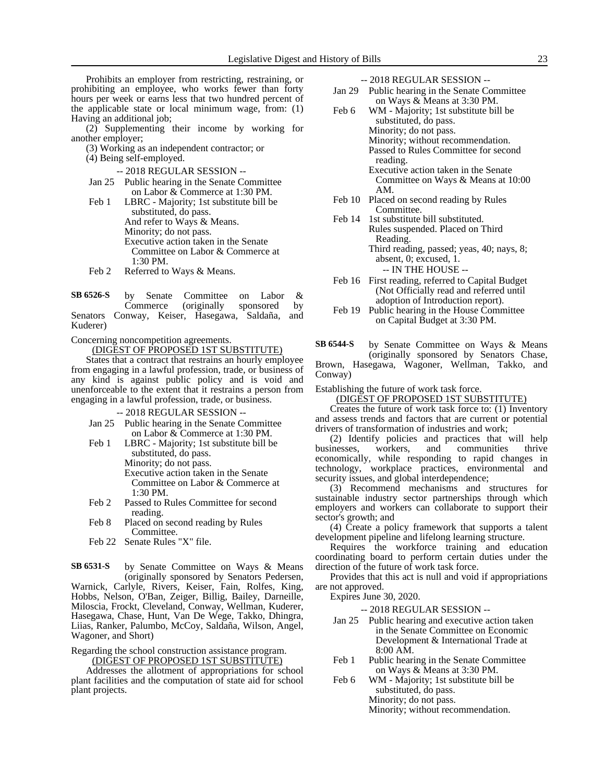Prohibits an employer from restricting, restraining, or prohibiting an employee, who works fewer than forty hours per week or earns less that two hundred percent of the applicable state or local minimum wage, from: (1) Having an additional job;

(2) Supplementing their income by working for another employer;

(3) Working as an independent contractor; or

(4) Being self-employed.

- -- 2018 REGULAR SESSION --
- Jan 25 Public hearing in the Senate Committee on Labor & Commerce at 1:30 PM.
- Feb 1 LBRC Majority; 1st substitute bill be substituted, do pass. And refer to Ways & Means. Minority; do not pass. Executive action taken in the Senate Committee on Labor & Commerce at 1:30 PM.
- Feb 2 Referred to Ways & Means.

| SB 6526-S |  | by Senate Committee on Labor &                  |  |
|-----------|--|-------------------------------------------------|--|
|           |  | Commerce (originally sponsored by               |  |
|           |  | Senators Conway, Keiser, Hasegawa, Saldaña, and |  |
| Kuderer)  |  |                                                 |  |

Concerning noncompetition agreements.

(DIGEST OF PROPOSED 1ST SUBSTITUTE)

States that a contract that restrains an hourly employee from engaging in a lawful profession, trade, or business of any kind is against public policy and is void and unenforceable to the extent that it restrains a person from engaging in a lawful profession, trade, or business.

-- 2018 REGULAR SESSION --

- Jan 25 Public hearing in the Senate Committee on Labor & Commerce at 1:30 PM.
- Feb 1 LBRC Majority; 1st substitute bill be substituted, do pass. Minority; do not pass.
	- Executive action taken in the Senate Committee on Labor & Commerce at 1:30 PM.
- Feb 2 Passed to Rules Committee for second reading.
- Feb 8 Placed on second reading by Rules Committee.
- Feb 22 Senate Rules "X" file.

by Senate Committee on Ways & Means (originally sponsored by Senators Pedersen, **SB 6531-S**

Warnick, Carlyle, Rivers, Keiser, Fain, Rolfes, King, Hobbs, Nelson, O'Ban, Zeiger, Billig, Bailey, Darneille, Miloscia, Frockt, Cleveland, Conway, Wellman, Kuderer, Hasegawa, Chase, Hunt, Van De Wege, Takko, Dhingra, Liias, Ranker, Palumbo, McCoy, Saldaña, Wilson, Angel, Wagoner, and Short)

Regarding the school construction assistance program. (DIGEST OF PROPOSED 1ST SUBSTITUTE)

Addresses the allotment of appropriations for school plant facilities and the computation of state aid for school plant projects.

-- 2018 REGULAR SESSION --

- Jan 29 Public hearing in the Senate Committee on Ways & Means at 3:30 PM.
- Feb 6 WM Majority; 1st substitute bill be substituted, do pass. Minority; do not pass. Minority; without recommendation. Passed to Rules Committee for second reading.

Executive action taken in the Senate Committee on Ways & Means at 10:00 AM.

- Feb 10 Placed on second reading by Rules Committee.
- Feb 14 1st substitute bill substituted. Rules suspended. Placed on Third Reading. Third reading, passed; yeas, 40; nays, 8; absent, 0; excused, 1. -- IN THE HOUSE --
- Feb 16 First reading, referred to Capital Budget (Not Officially read and referred until adoption of Introduction report).
- Feb 19 Public hearing in the House Committee on Capital Budget at 3:30 PM.

by Senate Committee on Ways & Means (originally sponsored by Senators Chase, **SB 6544-S**

Brown, Hasegawa, Wagoner, Wellman, Takko, and Conway)

Establishing the future of work task force.

(DIGEST OF PROPOSED 1ST SUBSTITUTE)

Creates the future of work task force to: (1) Inventory and assess trends and factors that are current or potential drivers of transformation of industries and work;

(2) Identify policies and practices that will help businesses, workers, and communities thrive economically, while responding to rapid changes in technology, workplace practices, environmental and security issues, and global interdependence;

(3) Recommend mechanisms and structures for sustainable industry sector partnerships through which employers and workers can collaborate to support their sector's growth; and

(4) Create a policy framework that supports a talent development pipeline and lifelong learning structure.

Requires the workforce training and education coordinating board to perform certain duties under the direction of the future of work task force.

Provides that this act is null and void if appropriations are not approved.

Expires June 30, 2020.

- Jan 25 Public hearing and executive action taken in the Senate Committee on Economic Development & International Trade at 8:00 AM.
- Feb 1 Public hearing in the Senate Committee on Ways & Means at 3:30 PM.
- Feb 6 WM Majority; 1st substitute bill be substituted, do pass. Minority; do not pass. Minority; without recommendation.